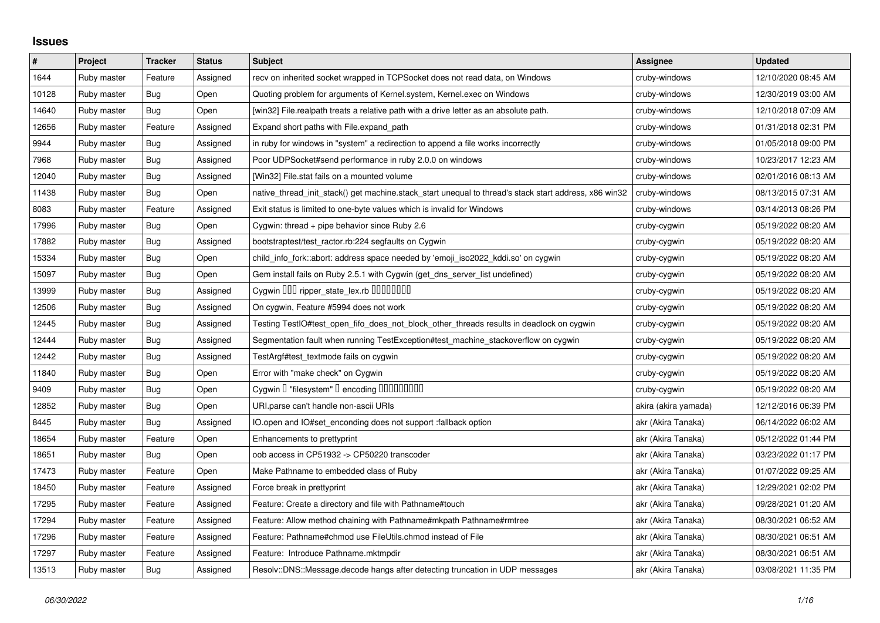## **Issues**

| $\#$  | Project     | <b>Tracker</b> | <b>Status</b> | <b>Subject</b>                                                                                        | Assignee             | <b>Updated</b>      |
|-------|-------------|----------------|---------------|-------------------------------------------------------------------------------------------------------|----------------------|---------------------|
| 1644  | Ruby master | Feature        | Assigned      | recv on inherited socket wrapped in TCPSocket does not read data, on Windows                          | cruby-windows        | 12/10/2020 08:45 AM |
| 10128 | Ruby master | Bug            | Open          | Quoting problem for arguments of Kernel.system, Kernel.exec on Windows                                | cruby-windows        | 12/30/2019 03:00 AM |
| 14640 | Ruby master | Bug            | Open          | [win32] File.realpath treats a relative path with a drive letter as an absolute path.                 | cruby-windows        | 12/10/2018 07:09 AM |
| 12656 | Ruby master | Feature        | Assigned      | Expand short paths with File.expand path                                                              | cruby-windows        | 01/31/2018 02:31 PM |
| 9944  | Ruby master | <b>Bug</b>     | Assigned      | in ruby for windows in "system" a redirection to append a file works incorrectly                      | cruby-windows        | 01/05/2018 09:00 PM |
| 7968  | Ruby master | Bug            | Assigned      | Poor UDPSocket#send performance in ruby 2.0.0 on windows                                              | cruby-windows        | 10/23/2017 12:23 AM |
| 12040 | Ruby master | Bug            | Assigned      | [Win32] File.stat fails on a mounted volume                                                           | cruby-windows        | 02/01/2016 08:13 AM |
| 11438 | Ruby master | Bug            | Open          | native_thread_init_stack() get machine.stack_start unequal to thread's stack start address, x86 win32 | cruby-windows        | 08/13/2015 07:31 AM |
| 8083  | Ruby master | Feature        | Assigned      | Exit status is limited to one-byte values which is invalid for Windows                                | cruby-windows        | 03/14/2013 08:26 PM |
| 17996 | Ruby master | Bug            | Open          | Cygwin: thread + pipe behavior since Ruby 2.6                                                         | cruby-cygwin         | 05/19/2022 08:20 AM |
| 17882 | Ruby master | Bug            | Assigned      | bootstraptest/test_ractor.rb:224 segfaults on Cygwin                                                  | cruby-cygwin         | 05/19/2022 08:20 AM |
| 15334 | Ruby master | <b>Bug</b>     | Open          | child_info_fork::abort: address space needed by 'emoji_iso2022_kddi.so' on cygwin                     | cruby-cygwin         | 05/19/2022 08:20 AM |
| 15097 | Ruby master | <b>Bug</b>     | Open          | Gem install fails on Ruby 2.5.1 with Cygwin (get_dns_server_list undefined)                           | cruby-cygwin         | 05/19/2022 08:20 AM |
| 13999 | Ruby master | Bug            | Assigned      | Cygwin OOO ripper_state_lex.rb 0000000                                                                | cruby-cygwin         | 05/19/2022 08:20 AM |
| 12506 | Ruby master | <b>Bug</b>     | Assigned      | On cygwin, Feature #5994 does not work                                                                | cruby-cygwin         | 05/19/2022 08:20 AM |
| 12445 | Ruby master | Bug            | Assigned      | Testing TestIO#test_open_fifo_does_not_block_other_threads results in deadlock on cygwin              | cruby-cygwin         | 05/19/2022 08:20 AM |
| 12444 | Ruby master | Bug            | Assigned      | Segmentation fault when running TestException#test_machine_stackoverflow on cygwin                    | cruby-cygwin         | 05/19/2022 08:20 AM |
| 12442 | Ruby master | Bug            | Assigned      | TestArgf#test textmode fails on cygwin                                                                | cruby-cygwin         | 05/19/2022 08:20 AM |
| 11840 | Ruby master | <b>Bug</b>     | Open          | Error with "make check" on Cygwin                                                                     | cruby-cygwin         | 05/19/2022 08:20 AM |
| 9409  | Ruby master | Bug            | Open          | Cygwin I "filesystem" I encoding IIIIIIIIIIIII                                                        | cruby-cygwin         | 05/19/2022 08:20 AM |
| 12852 | Ruby master | Bug            | Open          | URI.parse can't handle non-ascii URIs                                                                 | akira (akira yamada) | 12/12/2016 06:39 PM |
| 8445  | Ruby master | Bug            | Assigned      | IO.open and IO#set enconding does not support : fallback option                                       | akr (Akira Tanaka)   | 06/14/2022 06:02 AM |
| 18654 | Ruby master | Feature        | Open          | Enhancements to prettyprint                                                                           | akr (Akira Tanaka)   | 05/12/2022 01:44 PM |
| 18651 | Ruby master | Bug            | Open          | oob access in CP51932 -> CP50220 transcoder                                                           | akr (Akira Tanaka)   | 03/23/2022 01:17 PM |
| 17473 | Ruby master | Feature        | Open          | Make Pathname to embedded class of Ruby                                                               | akr (Akira Tanaka)   | 01/07/2022 09:25 AM |
| 18450 | Ruby master | Feature        | Assigned      | Force break in prettyprint                                                                            | akr (Akira Tanaka)   | 12/29/2021 02:02 PM |
| 17295 | Ruby master | Feature        | Assigned      | Feature: Create a directory and file with Pathname#touch                                              | akr (Akira Tanaka)   | 09/28/2021 01:20 AM |
| 17294 | Ruby master | Feature        | Assigned      | Feature: Allow method chaining with Pathname#mkpath Pathname#rmtree                                   | akr (Akira Tanaka)   | 08/30/2021 06:52 AM |
| 17296 | Ruby master | Feature        | Assigned      | Feature: Pathname#chmod use FileUtils.chmod instead of File                                           | akr (Akira Tanaka)   | 08/30/2021 06:51 AM |
| 17297 | Ruby master | Feature        | Assigned      | Feature: Introduce Pathname.mktmpdir                                                                  | akr (Akira Tanaka)   | 08/30/2021 06:51 AM |
| 13513 | Ruby master | Bug            | Assigned      | Resolv::DNS::Message.decode hangs after detecting truncation in UDP messages                          | akr (Akira Tanaka)   | 03/08/2021 11:35 PM |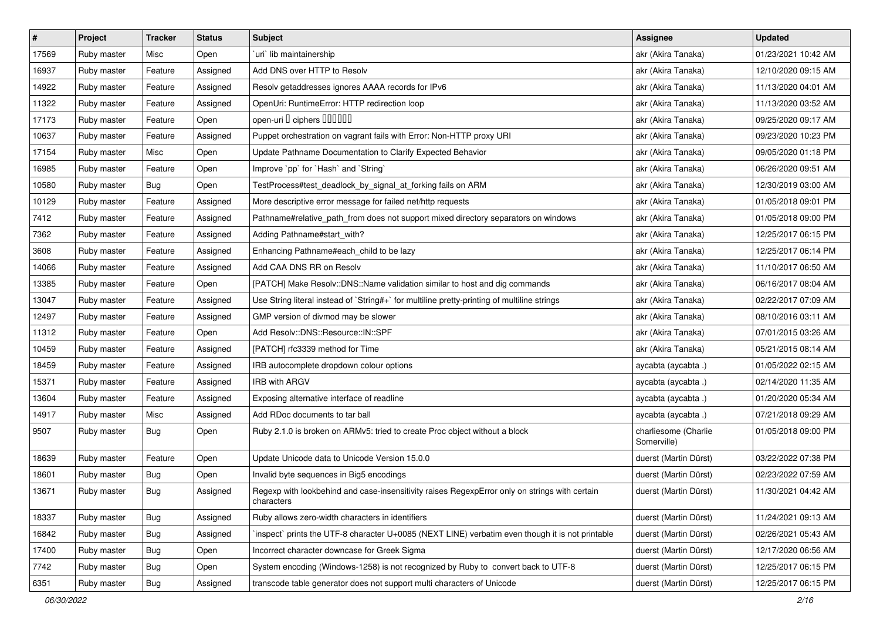| $\pmb{\#}$ | Project     | <b>Tracker</b> | <b>Status</b> | <b>Subject</b>                                                                                              | <b>Assignee</b>                     | <b>Updated</b>      |
|------------|-------------|----------------|---------------|-------------------------------------------------------------------------------------------------------------|-------------------------------------|---------------------|
| 17569      | Ruby master | Misc           | Open          | uri lib maintainership                                                                                      | akr (Akira Tanaka)                  | 01/23/2021 10:42 AM |
| 16937      | Ruby master | Feature        | Assigned      | Add DNS over HTTP to Resolv                                                                                 | akr (Akira Tanaka)                  | 12/10/2020 09:15 AM |
| 14922      | Ruby master | Feature        | Assigned      | Resolv getaddresses ignores AAAA records for IPv6                                                           | akr (Akira Tanaka)                  | 11/13/2020 04:01 AM |
| 11322      | Ruby master | Feature        | Assigned      | OpenUri: RuntimeError: HTTP redirection loop                                                                | akr (Akira Tanaka)                  | 11/13/2020 03:52 AM |
| 17173      | Ruby master | Feature        | Open          | open-uri I ciphers IIIIIII                                                                                  | akr (Akira Tanaka)                  | 09/25/2020 09:17 AM |
| 10637      | Ruby master | Feature        | Assigned      | Puppet orchestration on vagrant fails with Error: Non-HTTP proxy URI                                        | akr (Akira Tanaka)                  | 09/23/2020 10:23 PM |
| 17154      | Ruby master | Misc           | Open          | Update Pathname Documentation to Clarify Expected Behavior                                                  | akr (Akira Tanaka)                  | 09/05/2020 01:18 PM |
| 16985      | Ruby master | Feature        | Open          | Improve `pp` for `Hash` and `String`                                                                        | akr (Akira Tanaka)                  | 06/26/2020 09:51 AM |
| 10580      | Ruby master | Bug            | Open          | TestProcess#test_deadlock_by_signal_at_forking fails on ARM                                                 | akr (Akira Tanaka)                  | 12/30/2019 03:00 AM |
| 10129      | Ruby master | Feature        | Assigned      | More descriptive error message for failed net/http requests                                                 | akr (Akira Tanaka)                  | 01/05/2018 09:01 PM |
| 7412       | Ruby master | Feature        | Assigned      | Pathname#relative_path_from does not support mixed directory separators on windows                          | akr (Akira Tanaka)                  | 01/05/2018 09:00 PM |
| 7362       | Ruby master | Feature        | Assigned      | Adding Pathname#start_with?                                                                                 | akr (Akira Tanaka)                  | 12/25/2017 06:15 PM |
| 3608       | Ruby master | Feature        | Assigned      | Enhancing Pathname#each_child to be lazy                                                                    | akr (Akira Tanaka)                  | 12/25/2017 06:14 PM |
| 14066      | Ruby master | Feature        | Assigned      | Add CAA DNS RR on Resolv                                                                                    | akr (Akira Tanaka)                  | 11/10/2017 06:50 AM |
| 13385      | Ruby master | Feature        | Open          | [PATCH] Make Resolv::DNS::Name validation similar to host and dig commands                                  | akr (Akira Tanaka)                  | 06/16/2017 08:04 AM |
| 13047      | Ruby master | Feature        | Assigned      | Use String literal instead of `String#+` for multiline pretty-printing of multiline strings                 | akr (Akira Tanaka)                  | 02/22/2017 07:09 AM |
| 12497      | Ruby master | Feature        | Assigned      | GMP version of divmod may be slower                                                                         | akr (Akira Tanaka)                  | 08/10/2016 03:11 AM |
| 11312      | Ruby master | Feature        | Open          | Add Resolv::DNS::Resource::IN::SPF                                                                          | akr (Akira Tanaka)                  | 07/01/2015 03:26 AM |
| 10459      | Ruby master | Feature        | Assigned      | [PATCH] rfc3339 method for Time                                                                             | akr (Akira Tanaka)                  | 05/21/2015 08:14 AM |
| 18459      | Ruby master | Feature        | Assigned      | IRB autocomplete dropdown colour options                                                                    | aycabta (aycabta.)                  | 01/05/2022 02:15 AM |
| 15371      | Ruby master | Feature        | Assigned      | <b>IRB with ARGV</b>                                                                                        | aycabta (aycabta.)                  | 02/14/2020 11:35 AM |
| 13604      | Ruby master | Feature        | Assigned      | Exposing alternative interface of readline                                                                  | aycabta (aycabta .)                 | 01/20/2020 05:34 AM |
| 14917      | Ruby master | Misc           | Assigned      | Add RDoc documents to tar ball                                                                              | aycabta (aycabta.)                  | 07/21/2018 09:29 AM |
| 9507       | Ruby master | Bug            | Open          | Ruby 2.1.0 is broken on ARMv5: tried to create Proc object without a block                                  | charliesome (Charlie<br>Somerville) | 01/05/2018 09:00 PM |
| 18639      | Ruby master | Feature        | Open          | Update Unicode data to Unicode Version 15.0.0                                                               | duerst (Martin Dürst)               | 03/22/2022 07:38 PM |
| 18601      | Ruby master | <b>Bug</b>     | Open          | Invalid byte sequences in Big5 encodings                                                                    | duerst (Martin Dürst)               | 02/23/2022 07:59 AM |
| 13671      | Ruby master | <b>Bug</b>     | Assigned      | Regexp with lookbehind and case-insensitivity raises RegexpError only on strings with certain<br>characters | duerst (Martin Dürst)               | 11/30/2021 04:42 AM |
| 18337      | Ruby master | Bug            | Assigned      | Ruby allows zero-width characters in identifiers                                                            | duerst (Martin Dürst)               | 11/24/2021 09:13 AM |
| 16842      | Ruby master | <b>Bug</b>     | Assigned      | 'inspect' prints the UTF-8 character U+0085 (NEXT LINE) verbatim even though it is not printable            | duerst (Martin Dürst)               | 02/26/2021 05:43 AM |
| 17400      | Ruby master | Bug            | Open          | Incorrect character downcase for Greek Sigma                                                                | duerst (Martin Dürst)               | 12/17/2020 06:56 AM |
| 7742       | Ruby master | Bug            | Open          | System encoding (Windows-1258) is not recognized by Ruby to convert back to UTF-8                           | duerst (Martin Dürst)               | 12/25/2017 06:15 PM |
| 6351       | Ruby master | Bug            | Assigned      | transcode table generator does not support multi characters of Unicode                                      | duerst (Martin Dürst)               | 12/25/2017 06:15 PM |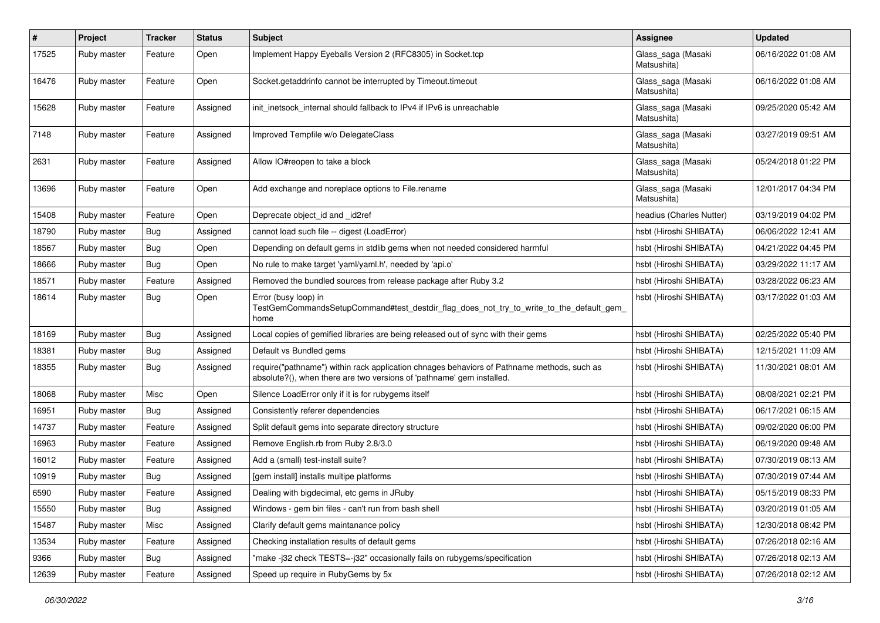| $\pmb{\#}$ | Project     | <b>Tracker</b> | <b>Status</b> | <b>Subject</b>                                                                                                                                                      | Assignee                          | <b>Updated</b>      |
|------------|-------------|----------------|---------------|---------------------------------------------------------------------------------------------------------------------------------------------------------------------|-----------------------------------|---------------------|
| 17525      | Ruby master | Feature        | Open          | Implement Happy Eyeballs Version 2 (RFC8305) in Socket.tcp                                                                                                          | Glass_saga (Masaki<br>Matsushita) | 06/16/2022 01:08 AM |
| 16476      | Ruby master | Feature        | Open          | Socket.getaddrinfo cannot be interrupted by Timeout.timeout                                                                                                         | Glass_saga (Masaki<br>Matsushita) | 06/16/2022 01:08 AM |
| 15628      | Ruby master | Feature        | Assigned      | init inetsock internal should fallback to IPv4 if IPv6 is unreachable                                                                                               | Glass_saga (Masaki<br>Matsushita) | 09/25/2020 05:42 AM |
| 7148       | Ruby master | Feature        | Assigned      | Improved Tempfile w/o DelegateClass                                                                                                                                 | Glass_saga (Masaki<br>Matsushita) | 03/27/2019 09:51 AM |
| 2631       | Ruby master | Feature        | Assigned      | Allow IO#reopen to take a block                                                                                                                                     | Glass_saga (Masaki<br>Matsushita) | 05/24/2018 01:22 PM |
| 13696      | Ruby master | Feature        | Open          | Add exchange and noreplace options to File.rename                                                                                                                   | Glass_saga (Masaki<br>Matsushita) | 12/01/2017 04:34 PM |
| 15408      | Ruby master | Feature        | Open          | Deprecate object_id and _id2ref                                                                                                                                     | headius (Charles Nutter)          | 03/19/2019 04:02 PM |
| 18790      | Ruby master | Bug            | Assigned      | cannot load such file -- digest (LoadError)                                                                                                                         | hsbt (Hiroshi SHIBATA)            | 06/06/2022 12:41 AM |
| 18567      | Ruby master | Bug            | Open          | Depending on default gems in stdlib gems when not needed considered harmful                                                                                         | hsbt (Hiroshi SHIBATA)            | 04/21/2022 04:45 PM |
| 18666      | Ruby master | Bug            | Open          | No rule to make target 'yaml/yaml.h', needed by 'api.o'                                                                                                             | hsbt (Hiroshi SHIBATA)            | 03/29/2022 11:17 AM |
| 18571      | Ruby master | Feature        | Assigned      | Removed the bundled sources from release package after Ruby 3.2                                                                                                     | hsbt (Hiroshi SHIBATA)            | 03/28/2022 06:23 AM |
| 18614      | Ruby master | Bug            | Open          | Error (busy loop) in<br>TestGemCommandsSetupCommand#test_destdir_flag_does_not_try_to_write_to_the_default_gem_<br>home                                             | hsbt (Hiroshi SHIBATA)            | 03/17/2022 01:03 AM |
| 18169      | Ruby master | Bug            | Assigned      | Local copies of gemified libraries are being released out of sync with their gems                                                                                   | hsbt (Hiroshi SHIBATA)            | 02/25/2022 05:40 PM |
| 18381      | Ruby master | Bug            | Assigned      | Default vs Bundled gems                                                                                                                                             | hsbt (Hiroshi SHIBATA)            | 12/15/2021 11:09 AM |
| 18355      | Ruby master | Bug            | Assigned      | require("pathname") within rack application chnages behaviors of Pathname methods, such as<br>absolute?(), when there are two versions of 'pathname' gem installed. | hsbt (Hiroshi SHIBATA)            | 11/30/2021 08:01 AM |
| 18068      | Ruby master | Misc           | Open          | Silence LoadError only if it is for rubygems itself                                                                                                                 | hsbt (Hiroshi SHIBATA)            | 08/08/2021 02:21 PM |
| 16951      | Ruby master | Bug            | Assigned      | Consistently referer dependencies                                                                                                                                   | hsbt (Hiroshi SHIBATA)            | 06/17/2021 06:15 AM |
| 14737      | Ruby master | Feature        | Assigned      | Split default gems into separate directory structure                                                                                                                | hsbt (Hiroshi SHIBATA)            | 09/02/2020 06:00 PM |
| 16963      | Ruby master | Feature        | Assigned      | Remove English.rb from Ruby 2.8/3.0                                                                                                                                 | hsbt (Hiroshi SHIBATA)            | 06/19/2020 09:48 AM |
| 16012      | Ruby master | Feature        | Assigned      | Add a (small) test-install suite?                                                                                                                                   | hsbt (Hiroshi SHIBATA)            | 07/30/2019 08:13 AM |
| 10919      | Ruby master | <b>Bug</b>     | Assigned      | [gem install] installs multipe platforms                                                                                                                            | hsbt (Hiroshi SHIBATA)            | 07/30/2019 07:44 AM |
| 6590       | Ruby master | Feature        | Assigned      | Dealing with bigdecimal, etc gems in JRuby                                                                                                                          | hsbt (Hiroshi SHIBATA)            | 05/15/2019 08:33 PM |
| 15550      | Ruby master | Bug            | Assigned      | Windows - gem bin files - can't run from bash shell                                                                                                                 | hsbt (Hiroshi SHIBATA)            | 03/20/2019 01:05 AM |
| 15487      | Ruby master | Misc           | Assigned      | Clarify default gems maintanance policy                                                                                                                             | hsbt (Hiroshi SHIBATA)            | 12/30/2018 08:42 PM |
| 13534      | Ruby master | Feature        | Assigned      | Checking installation results of default gems                                                                                                                       | hsbt (Hiroshi SHIBATA)            | 07/26/2018 02:16 AM |
| 9366       | Ruby master | Bug            | Assigned      | "make-j32 check TESTS=-j32" occasionally fails on rubygems/specification                                                                                            | hsbt (Hiroshi SHIBATA)            | 07/26/2018 02:13 AM |
| 12639      | Ruby master | Feature        | Assigned      | Speed up require in RubyGems by 5x                                                                                                                                  | hsbt (Hiroshi SHIBATA)            | 07/26/2018 02:12 AM |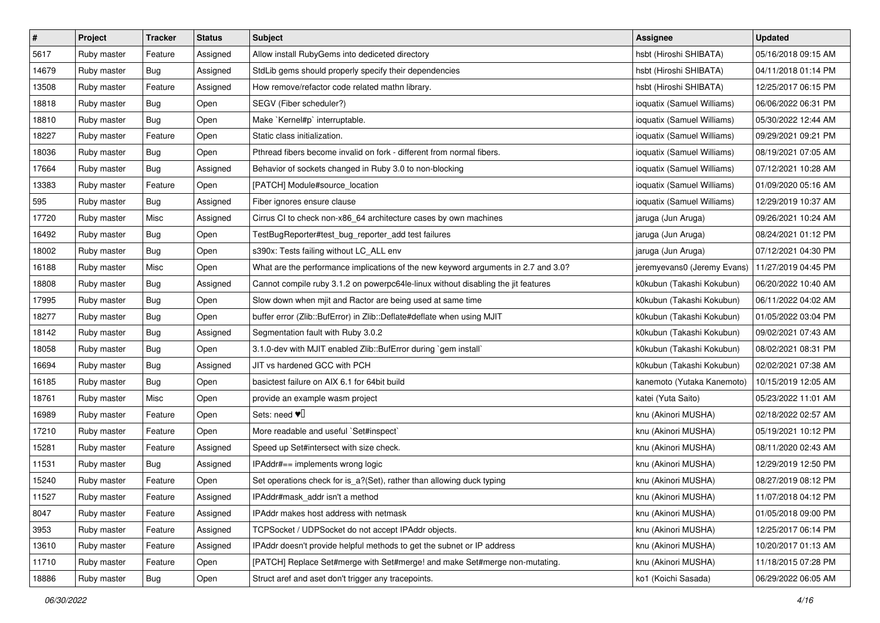| $\pmb{\#}$ | Project     | <b>Tracker</b> | <b>Status</b> | <b>Subject</b>                                                                     | <b>Assignee</b>             | <b>Updated</b>      |
|------------|-------------|----------------|---------------|------------------------------------------------------------------------------------|-----------------------------|---------------------|
| 5617       | Ruby master | Feature        | Assigned      | Allow install RubyGems into dediceted directory                                    | hsbt (Hiroshi SHIBATA)      | 05/16/2018 09:15 AM |
| 14679      | Ruby master | Bug            | Assigned      | StdLib gems should properly specify their dependencies                             | hsbt (Hiroshi SHIBATA)      | 04/11/2018 01:14 PM |
| 13508      | Ruby master | Feature        | Assigned      | How remove/refactor code related mathn library.                                    | hsbt (Hiroshi SHIBATA)      | 12/25/2017 06:15 PM |
| 18818      | Ruby master | <b>Bug</b>     | Open          | SEGV (Fiber scheduler?)                                                            | ioquatix (Samuel Williams)  | 06/06/2022 06:31 PM |
| 18810      | Ruby master | Bug            | Open          | Make `Kernel#p` interruptable.                                                     | ioquatix (Samuel Williams)  | 05/30/2022 12:44 AM |
| 18227      | Ruby master | Feature        | Open          | Static class initialization.                                                       | ioquatix (Samuel Williams)  | 09/29/2021 09:21 PM |
| 18036      | Ruby master | Bug            | Open          | Pthread fibers become invalid on fork - different from normal fibers.              | ioquatix (Samuel Williams)  | 08/19/2021 07:05 AM |
| 17664      | Ruby master | Bug            | Assigned      | Behavior of sockets changed in Ruby 3.0 to non-blocking                            | ioquatix (Samuel Williams)  | 07/12/2021 10:28 AM |
| 13383      | Ruby master | Feature        | Open          | [PATCH] Module#source_location                                                     | ioquatix (Samuel Williams)  | 01/09/2020 05:16 AM |
| 595        | Ruby master | Bug            | Assigned      | Fiber ignores ensure clause                                                        | ioquatix (Samuel Williams)  | 12/29/2019 10:37 AM |
| 17720      | Ruby master | Misc           | Assigned      | Cirrus CI to check non-x86_64 architecture cases by own machines                   | jaruga (Jun Aruga)          | 09/26/2021 10:24 AM |
| 16492      | Ruby master | Bug            | Open          | TestBugReporter#test_bug_reporter_add test failures                                | jaruga (Jun Aruga)          | 08/24/2021 01:12 PM |
| 18002      | Ruby master | Bug            | Open          | s390x: Tests failing without LC_ALL env                                            | jaruga (Jun Aruga)          | 07/12/2021 04:30 PM |
| 16188      | Ruby master | Misc           | Open          | What are the performance implications of the new keyword arguments in 2.7 and 3.0? | jeremyevans0 (Jeremy Evans) | 11/27/2019 04:45 PM |
| 18808      | Ruby master | <b>Bug</b>     | Assigned      | Cannot compile ruby 3.1.2 on powerpc64le-linux without disabling the jit features  | k0kubun (Takashi Kokubun)   | 06/20/2022 10:40 AM |
| 17995      | Ruby master | Bug            | Open          | Slow down when mjit and Ractor are being used at same time                         | k0kubun (Takashi Kokubun)   | 06/11/2022 04:02 AM |
| 18277      | Ruby master | <b>Bug</b>     | Open          | buffer error (Zlib::BufError) in Zlib::Deflate#deflate when using MJIT             | k0kubun (Takashi Kokubun)   | 01/05/2022 03:04 PM |
| 18142      | Ruby master | Bug            | Assigned      | Segmentation fault with Ruby 3.0.2                                                 | k0kubun (Takashi Kokubun)   | 09/02/2021 07:43 AM |
| 18058      | Ruby master | <b>Bug</b>     | Open          | 3.1.0-dev with MJIT enabled Zlib::BufError during `gem install`                    | k0kubun (Takashi Kokubun)   | 08/02/2021 08:31 PM |
| 16694      | Ruby master | Bug            | Assigned      | JIT vs hardened GCC with PCH                                                       | k0kubun (Takashi Kokubun)   | 02/02/2021 07:38 AM |
| 16185      | Ruby master | Bug            | Open          | basictest failure on AIX 6.1 for 64bit build                                       | kanemoto (Yutaka Kanemoto)  | 10/15/2019 12:05 AM |
| 18761      | Ruby master | Misc           | Open          | provide an example wasm project                                                    | katei (Yuta Saito)          | 05/23/2022 11:01 AM |
| 16989      | Ruby master | Feature        | Open          | Sets: need $\Psi$ <sup>[]</sup>                                                    | knu (Akinori MUSHA)         | 02/18/2022 02:57 AM |
| 17210      | Ruby master | Feature        | Open          | More readable and useful `Set#inspect`                                             | knu (Akinori MUSHA)         | 05/19/2021 10:12 PM |
| 15281      | Ruby master | Feature        | Assigned      | Speed up Set#intersect with size check.                                            | knu (Akinori MUSHA)         | 08/11/2020 02:43 AM |
| 11531      | Ruby master | Bug            | Assigned      | IPAddr#== implements wrong logic                                                   | knu (Akinori MUSHA)         | 12/29/2019 12:50 PM |
| 15240      | Ruby master | Feature        | Open          | Set operations check for is_a?(Set), rather than allowing duck typing              | knu (Akinori MUSHA)         | 08/27/2019 08:12 PM |
| 11527      | Ruby master | Feature        | Assigned      | IPAddr#mask_addr isn't a method                                                    | knu (Akinori MUSHA)         | 11/07/2018 04:12 PM |
| 8047       | Ruby master | Feature        | Assigned      | IPAddr makes host address with netmask                                             | knu (Akinori MUSHA)         | 01/05/2018 09:00 PM |
| 3953       | Ruby master | Feature        | Assigned      | TCPSocket / UDPSocket do not accept IPAddr objects.                                | knu (Akinori MUSHA)         | 12/25/2017 06:14 PM |
| 13610      | Ruby master | Feature        | Assigned      | IPAddr doesn't provide helpful methods to get the subnet or IP address             | knu (Akinori MUSHA)         | 10/20/2017 01:13 AM |
| 11710      | Ruby master | Feature        | Open          | [PATCH] Replace Set#merge with Set#merge! and make Set#merge non-mutating.         | knu (Akinori MUSHA)         | 11/18/2015 07:28 PM |
| 18886      | Ruby master | <b>Bug</b>     | Open          | Struct aref and aset don't trigger any tracepoints.                                | ko1 (Koichi Sasada)         | 06/29/2022 06:05 AM |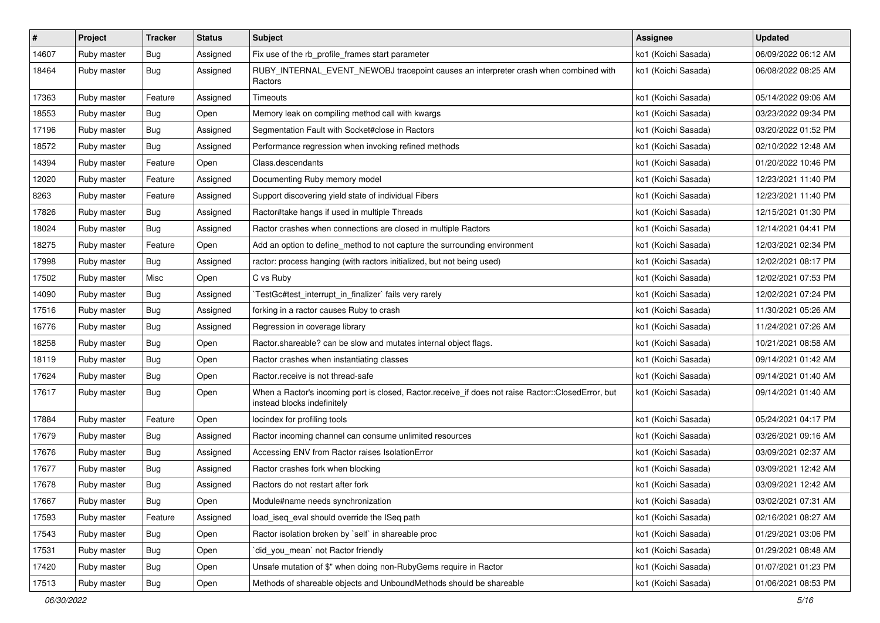| $\sharp$ | Project     | <b>Tracker</b> | <b>Status</b> | <b>Subject</b>                                                                                                                    | Assignee            | <b>Updated</b>      |
|----------|-------------|----------------|---------------|-----------------------------------------------------------------------------------------------------------------------------------|---------------------|---------------------|
| 14607    | Ruby master | <b>Bug</b>     | Assigned      | Fix use of the rb_profile_frames start parameter                                                                                  | ko1 (Koichi Sasada) | 06/09/2022 06:12 AM |
| 18464    | Ruby master | Bug            | Assigned      | RUBY_INTERNAL_EVENT_NEWOBJ tracepoint causes an interpreter crash when combined with<br>Ractors                                   | ko1 (Koichi Sasada) | 06/08/2022 08:25 AM |
| 17363    | Ruby master | Feature        | Assigned      | Timeouts                                                                                                                          | ko1 (Koichi Sasada) | 05/14/2022 09:06 AM |
| 18553    | Ruby master | Bug            | Open          | Memory leak on compiling method call with kwargs                                                                                  | ko1 (Koichi Sasada) | 03/23/2022 09:34 PM |
| 17196    | Ruby master | Bug            | Assigned      | Segmentation Fault with Socket#close in Ractors                                                                                   | ko1 (Koichi Sasada) | 03/20/2022 01:52 PM |
| 18572    | Ruby master | Bug            | Assigned      | Performance regression when invoking refined methods                                                                              | ko1 (Koichi Sasada) | 02/10/2022 12:48 AM |
| 14394    | Ruby master | Feature        | Open          | Class.descendants                                                                                                                 | ko1 (Koichi Sasada) | 01/20/2022 10:46 PM |
| 12020    | Ruby master | Feature        | Assigned      | Documenting Ruby memory model                                                                                                     | ko1 (Koichi Sasada) | 12/23/2021 11:40 PM |
| 8263     | Ruby master | Feature        | Assigned      | Support discovering yield state of individual Fibers                                                                              | ko1 (Koichi Sasada) | 12/23/2021 11:40 PM |
| 17826    | Ruby master | Bug            | Assigned      | Ractor#take hangs if used in multiple Threads                                                                                     | ko1 (Koichi Sasada) | 12/15/2021 01:30 PM |
| 18024    | Ruby master | <b>Bug</b>     | Assigned      | Ractor crashes when connections are closed in multiple Ractors                                                                    | ko1 (Koichi Sasada) | 12/14/2021 04:41 PM |
| 18275    | Ruby master | Feature        | Open          | Add an option to define_method to not capture the surrounding environment                                                         | ko1 (Koichi Sasada) | 12/03/2021 02:34 PM |
| 17998    | Ruby master | Bug            | Assigned      | ractor: process hanging (with ractors initialized, but not being used)                                                            | ko1 (Koichi Sasada) | 12/02/2021 08:17 PM |
| 17502    | Ruby master | Misc           | Open          | C vs Ruby                                                                                                                         | ko1 (Koichi Sasada) | 12/02/2021 07:53 PM |
| 14090    | Ruby master | Bug            | Assigned      | TestGc#test interrupt in finalizer` fails very rarely                                                                             | ko1 (Koichi Sasada) | 12/02/2021 07:24 PM |
| 17516    | Ruby master | Bug            | Assigned      | forking in a ractor causes Ruby to crash                                                                                          | ko1 (Koichi Sasada) | 11/30/2021 05:26 AM |
| 16776    | Ruby master | Bug            | Assigned      | Regression in coverage library                                                                                                    | ko1 (Koichi Sasada) | 11/24/2021 07:26 AM |
| 18258    | Ruby master | Bug            | Open          | Ractor shareable? can be slow and mutates internal object flags.                                                                  | ko1 (Koichi Sasada) | 10/21/2021 08:58 AM |
| 18119    | Ruby master | Bug            | Open          | Ractor crashes when instantiating classes                                                                                         | ko1 (Koichi Sasada) | 09/14/2021 01:42 AM |
| 17624    | Ruby master | Bug            | Open          | Ractor.receive is not thread-safe                                                                                                 | ko1 (Koichi Sasada) | 09/14/2021 01:40 AM |
| 17617    | Ruby master | <b>Bug</b>     | Open          | When a Ractor's incoming port is closed, Ractor.receive_if does not raise Ractor::ClosedError, but<br>instead blocks indefinitely | ko1 (Koichi Sasada) | 09/14/2021 01:40 AM |
| 17884    | Ruby master | Feature        | Open          | locindex for profiling tools                                                                                                      | ko1 (Koichi Sasada) | 05/24/2021 04:17 PM |
| 17679    | Ruby master | Bug            | Assigned      | Ractor incoming channel can consume unlimited resources                                                                           | ko1 (Koichi Sasada) | 03/26/2021 09:16 AM |
| 17676    | Ruby master | Bug            | Assigned      | Accessing ENV from Ractor raises IsolationError                                                                                   | ko1 (Koichi Sasada) | 03/09/2021 02:37 AM |
| 17677    | Ruby master | <b>Bug</b>     | Assigned      | Ractor crashes fork when blocking                                                                                                 | ko1 (Koichi Sasada) | 03/09/2021 12:42 AM |
| 17678    | Ruby master | <b>Bug</b>     | Assigned      | Ractors do not restart after fork                                                                                                 | ko1 (Koichi Sasada) | 03/09/2021 12:42 AM |
| 17667    | Ruby master | Bug            | Open          | Module#name needs synchronization                                                                                                 | ko1 (Koichi Sasada) | 03/02/2021 07:31 AM |
| 17593    | Ruby master | Feature        | Assigned      | load_iseq_eval should override the ISeq path                                                                                      | ko1 (Koichi Sasada) | 02/16/2021 08:27 AM |
| 17543    | Ruby master | <b>Bug</b>     | Open          | Ractor isolation broken by `self` in shareable proc                                                                               | ko1 (Koichi Sasada) | 01/29/2021 03:06 PM |
| 17531    | Ruby master | <b>Bug</b>     | Open          | did you mean' not Ractor friendly                                                                                                 | ko1 (Koichi Sasada) | 01/29/2021 08:48 AM |
| 17420    | Ruby master | Bug            | Open          | Unsafe mutation of \$" when doing non-RubyGems require in Ractor                                                                  | ko1 (Koichi Sasada) | 01/07/2021 01:23 PM |
| 17513    | Ruby master | <b>Bug</b>     | Open          | Methods of shareable objects and UnboundMethods should be shareable                                                               | ko1 (Koichi Sasada) | 01/06/2021 08:53 PM |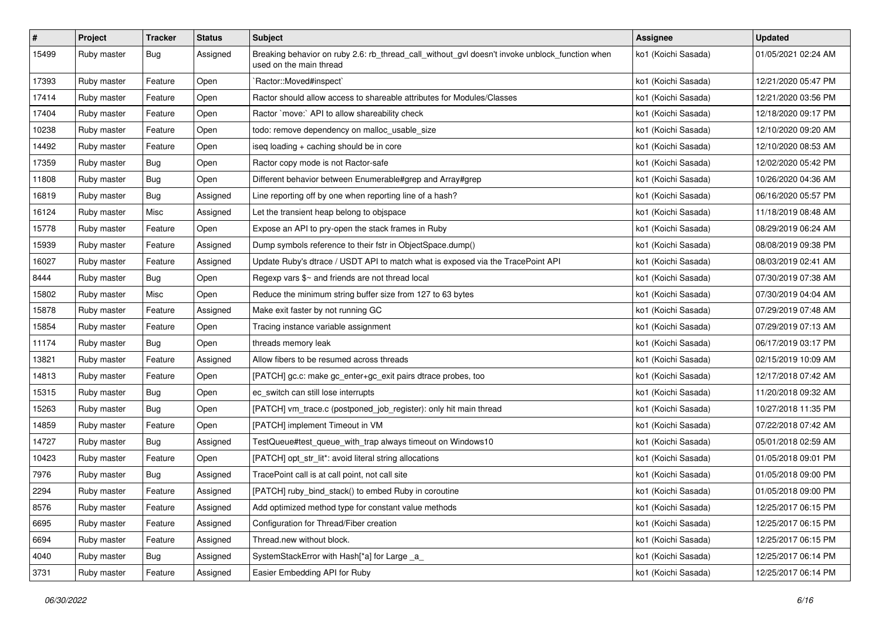| $\pmb{\#}$ | Project     | <b>Tracker</b> | <b>Status</b> | <b>Subject</b>                                                                                                            | <b>Assignee</b>     | <b>Updated</b>      |
|------------|-------------|----------------|---------------|---------------------------------------------------------------------------------------------------------------------------|---------------------|---------------------|
| 15499      | Ruby master | <b>Bug</b>     | Assigned      | Breaking behavior on ruby 2.6: rb_thread_call_without_gvl doesn't invoke unblock_function when<br>used on the main thread | ko1 (Koichi Sasada) | 01/05/2021 02:24 AM |
| 17393      | Ruby master | Feature        | Open          | Ractor::Moved#inspect`                                                                                                    | ko1 (Koichi Sasada) | 12/21/2020 05:47 PM |
| 17414      | Ruby master | Feature        | Open          | Ractor should allow access to shareable attributes for Modules/Classes                                                    | ko1 (Koichi Sasada) | 12/21/2020 03:56 PM |
| 17404      | Ruby master | Feature        | Open          | Ractor `move:` API to allow shareability check                                                                            | ko1 (Koichi Sasada) | 12/18/2020 09:17 PM |
| 10238      | Ruby master | Feature        | Open          | todo: remove dependency on malloc_usable_size                                                                             | ko1 (Koichi Sasada) | 12/10/2020 09:20 AM |
| 14492      | Ruby master | Feature        | Open          | iseq loading + caching should be in core                                                                                  | ko1 (Koichi Sasada) | 12/10/2020 08:53 AM |
| 17359      | Ruby master | Bug            | Open          | Ractor copy mode is not Ractor-safe                                                                                       | ko1 (Koichi Sasada) | 12/02/2020 05:42 PM |
| 11808      | Ruby master | <b>Bug</b>     | Open          | Different behavior between Enumerable#grep and Array#grep                                                                 | ko1 (Koichi Sasada) | 10/26/2020 04:36 AM |
| 16819      | Ruby master | Bug            | Assigned      | Line reporting off by one when reporting line of a hash?                                                                  | ko1 (Koichi Sasada) | 06/16/2020 05:57 PM |
| 16124      | Ruby master | Misc           | Assigned      | Let the transient heap belong to objspace                                                                                 | ko1 (Koichi Sasada) | 11/18/2019 08:48 AM |
| 15778      | Ruby master | Feature        | Open          | Expose an API to pry-open the stack frames in Ruby                                                                        | ko1 (Koichi Sasada) | 08/29/2019 06:24 AM |
| 15939      | Ruby master | Feature        | Assigned      | Dump symbols reference to their fstr in ObjectSpace.dump()                                                                | ko1 (Koichi Sasada) | 08/08/2019 09:38 PM |
| 16027      | Ruby master | Feature        | Assigned      | Update Ruby's dtrace / USDT API to match what is exposed via the TracePoint API                                           | ko1 (Koichi Sasada) | 08/03/2019 02:41 AM |
| 8444       | Ruby master | Bug            | Open          | Regexp vars \$~ and friends are not thread local                                                                          | ko1 (Koichi Sasada) | 07/30/2019 07:38 AM |
| 15802      | Ruby master | Misc           | Open          | Reduce the minimum string buffer size from 127 to 63 bytes                                                                | ko1 (Koichi Sasada) | 07/30/2019 04:04 AM |
| 15878      | Ruby master | Feature        | Assigned      | Make exit faster by not running GC                                                                                        | ko1 (Koichi Sasada) | 07/29/2019 07:48 AM |
| 15854      | Ruby master | Feature        | Open          | Tracing instance variable assignment                                                                                      | ko1 (Koichi Sasada) | 07/29/2019 07:13 AM |
| 11174      | Ruby master | Bug            | Open          | threads memory leak                                                                                                       | ko1 (Koichi Sasada) | 06/17/2019 03:17 PM |
| 13821      | Ruby master | Feature        | Assigned      | Allow fibers to be resumed across threads                                                                                 | ko1 (Koichi Sasada) | 02/15/2019 10:09 AM |
| 14813      | Ruby master | Feature        | Open          | [PATCH] gc.c: make gc_enter+gc_exit pairs dtrace probes, too                                                              | ko1 (Koichi Sasada) | 12/17/2018 07:42 AM |
| 15315      | Ruby master | Bug            | Open          | ec_switch can still lose interrupts                                                                                       | ko1 (Koichi Sasada) | 11/20/2018 09:32 AM |
| 15263      | Ruby master | <b>Bug</b>     | Open          | [PATCH] vm_trace.c (postponed_job_register): only hit main thread                                                         | ko1 (Koichi Sasada) | 10/27/2018 11:35 PM |
| 14859      | Ruby master | Feature        | Open          | [PATCH] implement Timeout in VM                                                                                           | ko1 (Koichi Sasada) | 07/22/2018 07:42 AM |
| 14727      | Ruby master | Bug            | Assigned      | TestQueue#test_queue_with_trap always timeout on Windows10                                                                | ko1 (Koichi Sasada) | 05/01/2018 02:59 AM |
| 10423      | Ruby master | Feature        | Open          | [PATCH] opt_str_lit*: avoid literal string allocations                                                                    | ko1 (Koichi Sasada) | 01/05/2018 09:01 PM |
| 7976       | Ruby master | <b>Bug</b>     | Assigned      | TracePoint call is at call point, not call site                                                                           | ko1 (Koichi Sasada) | 01/05/2018 09:00 PM |
| 2294       | Ruby master | Feature        | Assigned      | [PATCH] ruby_bind_stack() to embed Ruby in coroutine                                                                      | ko1 (Koichi Sasada) | 01/05/2018 09:00 PM |
| 8576       | Ruby master | Feature        | Assigned      | Add optimized method type for constant value methods                                                                      | ko1 (Koichi Sasada) | 12/25/2017 06:15 PM |
| 6695       | Ruby master | Feature        | Assigned      | Configuration for Thread/Fiber creation                                                                                   | ko1 (Koichi Sasada) | 12/25/2017 06:15 PM |
| 6694       | Ruby master | Feature        | Assigned      | Thread.new without block.                                                                                                 | ko1 (Koichi Sasada) | 12/25/2017 06:15 PM |
| 4040       | Ruby master | <b>Bug</b>     | Assigned      | SystemStackError with Hash[*a] for Large _a_                                                                              | ko1 (Koichi Sasada) | 12/25/2017 06:14 PM |
| 3731       | Ruby master | Feature        | Assigned      | Easier Embedding API for Ruby                                                                                             | ko1 (Koichi Sasada) | 12/25/2017 06:14 PM |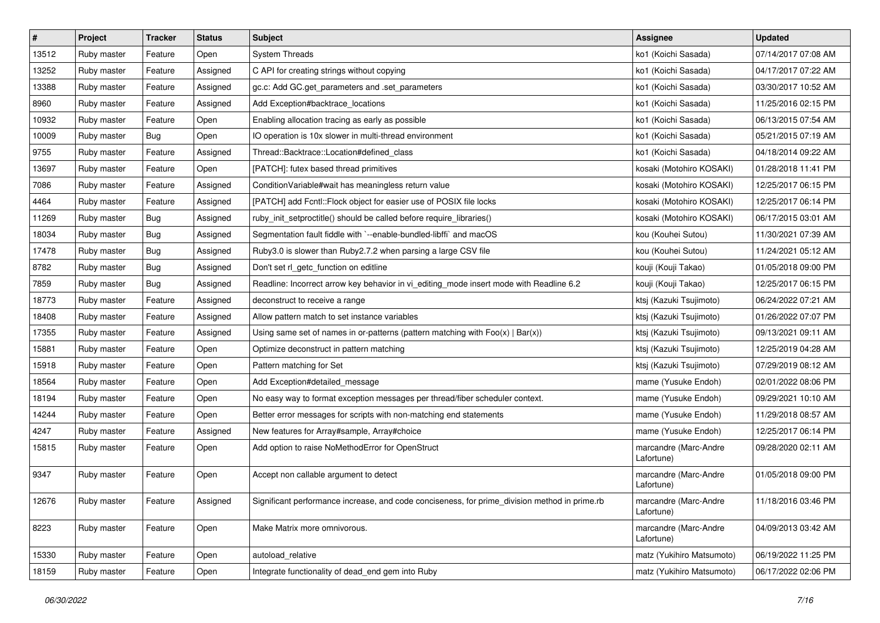| $\vert$ # | Project     | <b>Tracker</b> | <b>Status</b> | <b>Subject</b>                                                                                | Assignee                            | <b>Updated</b>      |
|-----------|-------------|----------------|---------------|-----------------------------------------------------------------------------------------------|-------------------------------------|---------------------|
| 13512     | Ruby master | Feature        | Open          | <b>System Threads</b>                                                                         | ko1 (Koichi Sasada)                 | 07/14/2017 07:08 AM |
| 13252     | Ruby master | Feature        | Assigned      | C API for creating strings without copying                                                    | ko1 (Koichi Sasada)                 | 04/17/2017 07:22 AM |
| 13388     | Ruby master | Feature        | Assigned      | gc.c: Add GC.get_parameters and .set_parameters                                               | ko1 (Koichi Sasada)                 | 03/30/2017 10:52 AM |
| 8960      | Ruby master | Feature        | Assigned      | Add Exception#backtrace_locations                                                             | ko1 (Koichi Sasada)                 | 11/25/2016 02:15 PM |
| 10932     | Ruby master | Feature        | Open          | Enabling allocation tracing as early as possible                                              | ko1 (Koichi Sasada)                 | 06/13/2015 07:54 AM |
| 10009     | Ruby master | Bug            | Open          | IO operation is 10x slower in multi-thread environment                                        | ko1 (Koichi Sasada)                 | 05/21/2015 07:19 AM |
| 9755      | Ruby master | Feature        | Assigned      | Thread::Backtrace::Location#defined class                                                     | ko1 (Koichi Sasada)                 | 04/18/2014 09:22 AM |
| 13697     | Ruby master | Feature        | Open          | [PATCH]: futex based thread primitives                                                        | kosaki (Motohiro KOSAKI)            | 01/28/2018 11:41 PM |
| 7086      | Ruby master | Feature        | Assigned      | Condition Variable#wait has meaningless return value                                          | kosaki (Motohiro KOSAKI)            | 12/25/2017 06:15 PM |
| 4464      | Ruby master | Feature        | Assigned      | [PATCH] add Fcntl::Flock object for easier use of POSIX file locks                            | kosaki (Motohiro KOSAKI)            | 12/25/2017 06:14 PM |
| 11269     | Ruby master | Bug            | Assigned      | ruby_init_setproctitle() should be called before require_libraries()                          | kosaki (Motohiro KOSAKI)            | 06/17/2015 03:01 AM |
| 18034     | Ruby master | Bug            | Assigned      | Segmentation fault fiddle with `--enable-bundled-libffi` and macOS                            | kou (Kouhei Sutou)                  | 11/30/2021 07:39 AM |
| 17478     | Ruby master | Bug            | Assigned      | Ruby3.0 is slower than Ruby2.7.2 when parsing a large CSV file                                | kou (Kouhei Sutou)                  | 11/24/2021 05:12 AM |
| 8782      | Ruby master | Bug            | Assigned      | Don't set rl_getc_function on editline                                                        | kouji (Kouji Takao)                 | 01/05/2018 09:00 PM |
| 7859      | Ruby master | Bug            | Assigned      | Readline: Incorrect arrow key behavior in vi_editing_mode insert mode with Readline 6.2       | kouji (Kouji Takao)                 | 12/25/2017 06:15 PM |
| 18773     | Ruby master | Feature        | Assigned      | deconstruct to receive a range                                                                | ktsj (Kazuki Tsujimoto)             | 06/24/2022 07:21 AM |
| 18408     | Ruby master | Feature        | Assigned      | Allow pattern match to set instance variables                                                 | ktsj (Kazuki Tsujimoto)             | 01/26/2022 07:07 PM |
| 17355     | Ruby master | Feature        | Assigned      | Using same set of names in or-patterns (pattern matching with $Foo(x)   Bar(x)$ )             | ktsj (Kazuki Tsujimoto)             | 09/13/2021 09:11 AM |
| 15881     | Ruby master | Feature        | Open          | Optimize deconstruct in pattern matching                                                      | ktsj (Kazuki Tsujimoto)             | 12/25/2019 04:28 AM |
| 15918     | Ruby master | Feature        | Open          | Pattern matching for Set                                                                      | ktsj (Kazuki Tsujimoto)             | 07/29/2019 08:12 AM |
| 18564     | Ruby master | Feature        | Open          | Add Exception#detailed message                                                                | mame (Yusuke Endoh)                 | 02/01/2022 08:06 PM |
| 18194     | Ruby master | Feature        | Open          | No easy way to format exception messages per thread/fiber scheduler context.                  | mame (Yusuke Endoh)                 | 09/29/2021 10:10 AM |
| 14244     | Ruby master | Feature        | Open          | Better error messages for scripts with non-matching end statements                            | mame (Yusuke Endoh)                 | 11/29/2018 08:57 AM |
| 4247      | Ruby master | Feature        | Assigned      | New features for Array#sample, Array#choice                                                   | mame (Yusuke Endoh)                 | 12/25/2017 06:14 PM |
| 15815     | Ruby master | Feature        | Open          | Add option to raise NoMethodError for OpenStruct                                              | marcandre (Marc-Andre<br>Lafortune) | 09/28/2020 02:11 AM |
| 9347      | Ruby master | Feature        | Open          | Accept non callable argument to detect                                                        | marcandre (Marc-Andre<br>Lafortune) | 01/05/2018 09:00 PM |
| 12676     | Ruby master | Feature        | Assigned      | Significant performance increase, and code conciseness, for prime_division method in prime.rb | marcandre (Marc-Andre<br>Lafortune) | 11/18/2016 03:46 PM |
| 8223      | Ruby master | Feature        | Open          | Make Matrix more omnivorous.                                                                  | marcandre (Marc-Andre<br>Lafortune) | 04/09/2013 03:42 AM |
| 15330     | Ruby master | Feature        | Open          | autoload relative                                                                             | matz (Yukihiro Matsumoto)           | 06/19/2022 11:25 PM |
| 18159     | Ruby master | Feature        | Open          | Integrate functionality of dead_end gem into Ruby                                             | matz (Yukihiro Matsumoto)           | 06/17/2022 02:06 PM |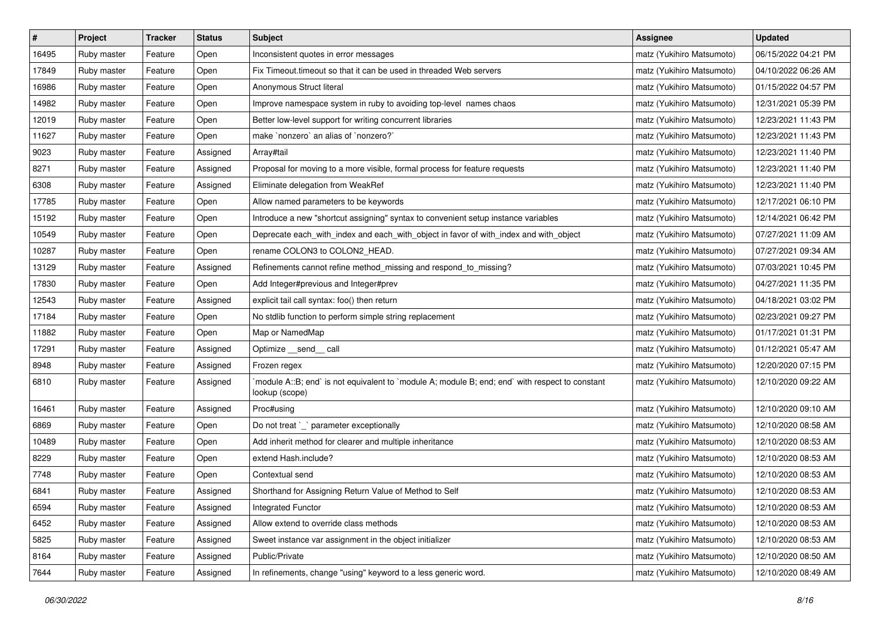| $\sharp$ | Project     | Tracker | <b>Status</b> | <b>Subject</b>                                                                                                   | <b>Assignee</b>           | <b>Updated</b>      |
|----------|-------------|---------|---------------|------------------------------------------------------------------------------------------------------------------|---------------------------|---------------------|
| 16495    | Ruby master | Feature | Open          | Inconsistent quotes in error messages                                                                            | matz (Yukihiro Matsumoto) | 06/15/2022 04:21 PM |
| 17849    | Ruby master | Feature | Open          | Fix Timeout.timeout so that it can be used in threaded Web servers                                               | matz (Yukihiro Matsumoto) | 04/10/2022 06:26 AM |
| 16986    | Ruby master | Feature | Open          | Anonymous Struct literal                                                                                         | matz (Yukihiro Matsumoto) | 01/15/2022 04:57 PM |
| 14982    | Ruby master | Feature | Open          | Improve namespace system in ruby to avoiding top-level names chaos                                               | matz (Yukihiro Matsumoto) | 12/31/2021 05:39 PM |
| 12019    | Ruby master | Feature | Open          | Better low-level support for writing concurrent libraries                                                        | matz (Yukihiro Matsumoto) | 12/23/2021 11:43 PM |
| 11627    | Ruby master | Feature | Open          | make `nonzero` an alias of `nonzero?`                                                                            | matz (Yukihiro Matsumoto) | 12/23/2021 11:43 PM |
| 9023     | Ruby master | Feature | Assigned      | Array#tail                                                                                                       | matz (Yukihiro Matsumoto) | 12/23/2021 11:40 PM |
| 8271     | Ruby master | Feature | Assigned      | Proposal for moving to a more visible, formal process for feature requests                                       | matz (Yukihiro Matsumoto) | 12/23/2021 11:40 PM |
| 6308     | Ruby master | Feature | Assigned      | Eliminate delegation from WeakRef                                                                                | matz (Yukihiro Matsumoto) | 12/23/2021 11:40 PM |
| 17785    | Ruby master | Feature | Open          | Allow named parameters to be keywords                                                                            | matz (Yukihiro Matsumoto) | 12/17/2021 06:10 PM |
| 15192    | Ruby master | Feature | Open          | Introduce a new "shortcut assigning" syntax to convenient setup instance variables                               | matz (Yukihiro Matsumoto) | 12/14/2021 06:42 PM |
| 10549    | Ruby master | Feature | Open          | Deprecate each_with_index and each_with_object in favor of with_index and with_object                            | matz (Yukihiro Matsumoto) | 07/27/2021 11:09 AM |
| 10287    | Ruby master | Feature | Open          | rename COLON3 to COLON2_HEAD.                                                                                    | matz (Yukihiro Matsumoto) | 07/27/2021 09:34 AM |
| 13129    | Ruby master | Feature | Assigned      | Refinements cannot refine method_missing and respond_to_missing?                                                 | matz (Yukihiro Matsumoto) | 07/03/2021 10:45 PM |
| 17830    | Ruby master | Feature | Open          | Add Integer#previous and Integer#prev                                                                            | matz (Yukihiro Matsumoto) | 04/27/2021 11:35 PM |
| 12543    | Ruby master | Feature | Assigned      | explicit tail call syntax: foo() then return                                                                     | matz (Yukihiro Matsumoto) | 04/18/2021 03:02 PM |
| 17184    | Ruby master | Feature | Open          | No stdlib function to perform simple string replacement                                                          | matz (Yukihiro Matsumoto) | 02/23/2021 09:27 PM |
| 11882    | Ruby master | Feature | Open          | Map or NamedMap                                                                                                  | matz (Yukihiro Matsumoto) | 01/17/2021 01:31 PM |
| 17291    | Ruby master | Feature | Assigned      | Optimize __send__ call                                                                                           | matz (Yukihiro Matsumoto) | 01/12/2021 05:47 AM |
| 8948     | Ruby master | Feature | Assigned      | Frozen regex                                                                                                     | matz (Yukihiro Matsumoto) | 12/20/2020 07:15 PM |
| 6810     | Ruby master | Feature | Assigned      | module A::B; end` is not equivalent to `module A; module B; end; end` with respect to constant<br>lookup (scope) | matz (Yukihiro Matsumoto) | 12/10/2020 09:22 AM |
| 16461    | Ruby master | Feature | Assigned      | Proc#using                                                                                                       | matz (Yukihiro Matsumoto) | 12/10/2020 09:10 AM |
| 6869     | Ruby master | Feature | Open          | Do not treat `_` parameter exceptionally                                                                         | matz (Yukihiro Matsumoto) | 12/10/2020 08:58 AM |
| 10489    | Ruby master | Feature | Open          | Add inherit method for clearer and multiple inheritance                                                          | matz (Yukihiro Matsumoto) | 12/10/2020 08:53 AM |
| 8229     | Ruby master | Feature | Open          | extend Hash.include?                                                                                             | matz (Yukihiro Matsumoto) | 12/10/2020 08:53 AM |
| 7748     | Ruby master | Feature | Open          | Contextual send                                                                                                  | matz (Yukihiro Matsumoto) | 12/10/2020 08:53 AM |
| 6841     | Ruby master | Feature | Assigned      | Shorthand for Assigning Return Value of Method to Self                                                           | matz (Yukihiro Matsumoto) | 12/10/2020 08:53 AM |
| 6594     | Ruby master | Feature | Assigned      | <b>Integrated Functor</b>                                                                                        | matz (Yukihiro Matsumoto) | 12/10/2020 08:53 AM |
| 6452     | Ruby master | Feature | Assigned      | Allow extend to override class methods                                                                           | matz (Yukihiro Matsumoto) | 12/10/2020 08:53 AM |
| 5825     | Ruby master | Feature | Assigned      | Sweet instance var assignment in the object initializer                                                          | matz (Yukihiro Matsumoto) | 12/10/2020 08:53 AM |
| 8164     | Ruby master | Feature | Assigned      | Public/Private                                                                                                   | matz (Yukihiro Matsumoto) | 12/10/2020 08:50 AM |
| 7644     | Ruby master | Feature | Assigned      | In refinements, change "using" keyword to a less generic word.                                                   | matz (Yukihiro Matsumoto) | 12/10/2020 08:49 AM |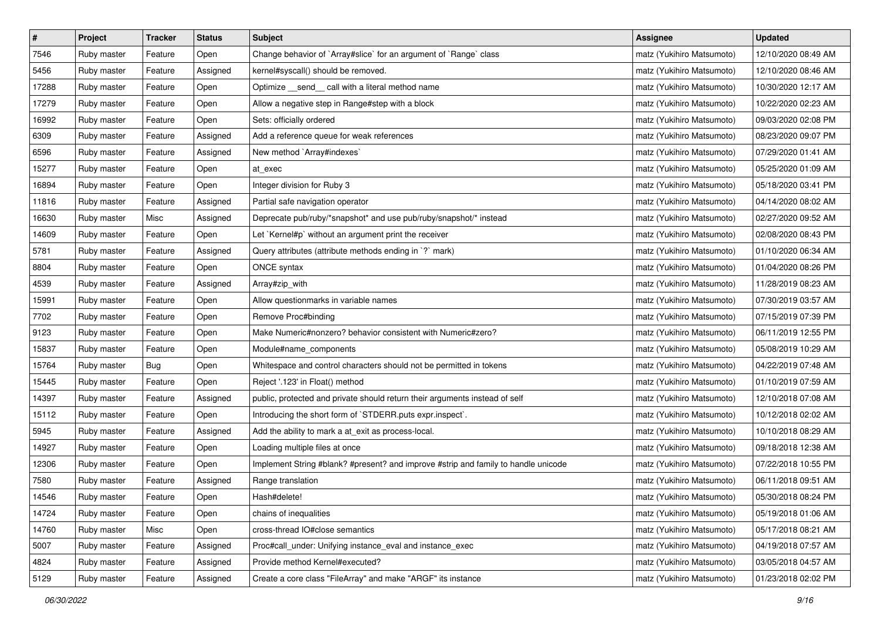| $\pmb{\#}$ | Project     | <b>Tracker</b> | <b>Status</b> | <b>Subject</b>                                                                     | Assignee                  | <b>Updated</b>      |
|------------|-------------|----------------|---------------|------------------------------------------------------------------------------------|---------------------------|---------------------|
| 7546       | Ruby master | Feature        | Open          | Change behavior of `Array#slice` for an argument of `Range` class                  | matz (Yukihiro Matsumoto) | 12/10/2020 08:49 AM |
| 5456       | Ruby master | Feature        | Assigned      | kernel#syscall() should be removed.                                                | matz (Yukihiro Matsumoto) | 12/10/2020 08:46 AM |
| 17288      | Ruby master | Feature        | Open          | Optimize _send_ call with a literal method name                                    | matz (Yukihiro Matsumoto) | 10/30/2020 12:17 AM |
| 17279      | Ruby master | Feature        | Open          | Allow a negative step in Range#step with a block                                   | matz (Yukihiro Matsumoto) | 10/22/2020 02:23 AM |
| 16992      | Ruby master | Feature        | Open          | Sets: officially ordered                                                           | matz (Yukihiro Matsumoto) | 09/03/2020 02:08 PM |
| 6309       | Ruby master | Feature        | Assigned      | Add a reference queue for weak references                                          | matz (Yukihiro Matsumoto) | 08/23/2020 09:07 PM |
| 6596       | Ruby master | Feature        | Assigned      | New method `Array#indexes`                                                         | matz (Yukihiro Matsumoto) | 07/29/2020 01:41 AM |
| 15277      | Ruby master | Feature        | Open          | at exec                                                                            | matz (Yukihiro Matsumoto) | 05/25/2020 01:09 AM |
| 16894      | Ruby master | Feature        | Open          | Integer division for Ruby 3                                                        | matz (Yukihiro Matsumoto) | 05/18/2020 03:41 PM |
| 11816      | Ruby master | Feature        | Assigned      | Partial safe navigation operator                                                   | matz (Yukihiro Matsumoto) | 04/14/2020 08:02 AM |
| 16630      | Ruby master | Misc           | Assigned      | Deprecate pub/ruby/*snapshot* and use pub/ruby/snapshot/* instead                  | matz (Yukihiro Matsumoto) | 02/27/2020 09:52 AM |
| 14609      | Ruby master | Feature        | Open          | Let `Kernel#p` without an argument print the receiver                              | matz (Yukihiro Matsumoto) | 02/08/2020 08:43 PM |
| 5781       | Ruby master | Feature        | Assigned      | Query attributes (attribute methods ending in `?` mark)                            | matz (Yukihiro Matsumoto) | 01/10/2020 06:34 AM |
| 8804       | Ruby master | Feature        | Open          | ONCE syntax                                                                        | matz (Yukihiro Matsumoto) | 01/04/2020 08:26 PM |
| 4539       | Ruby master | Feature        | Assigned      | Array#zip_with                                                                     | matz (Yukihiro Matsumoto) | 11/28/2019 08:23 AM |
| 15991      | Ruby master | Feature        | Open          | Allow questionmarks in variable names                                              | matz (Yukihiro Matsumoto) | 07/30/2019 03:57 AM |
| 7702       | Ruby master | Feature        | Open          | Remove Proc#binding                                                                | matz (Yukihiro Matsumoto) | 07/15/2019 07:39 PM |
| 9123       | Ruby master | Feature        | Open          | Make Numeric#nonzero? behavior consistent with Numeric#zero?                       | matz (Yukihiro Matsumoto) | 06/11/2019 12:55 PM |
| 15837      | Ruby master | Feature        | Open          | Module#name_components                                                             | matz (Yukihiro Matsumoto) | 05/08/2019 10:29 AM |
| 15764      | Ruby master | Bug            | Open          | Whitespace and control characters should not be permitted in tokens                | matz (Yukihiro Matsumoto) | 04/22/2019 07:48 AM |
| 15445      | Ruby master | Feature        | Open          | Reject '.123' in Float() method                                                    | matz (Yukihiro Matsumoto) | 01/10/2019 07:59 AM |
| 14397      | Ruby master | Feature        | Assigned      | public, protected and private should return their arguments instead of self        | matz (Yukihiro Matsumoto) | 12/10/2018 07:08 AM |
| 15112      | Ruby master | Feature        | Open          | Introducing the short form of `STDERR.puts expr.inspect`.                          | matz (Yukihiro Matsumoto) | 10/12/2018 02:02 AM |
| 5945       | Ruby master | Feature        | Assigned      | Add the ability to mark a at_exit as process-local.                                | matz (Yukihiro Matsumoto) | 10/10/2018 08:29 AM |
| 14927      | Ruby master | Feature        | Open          | Loading multiple files at once                                                     | matz (Yukihiro Matsumoto) | 09/18/2018 12:38 AM |
| 12306      | Ruby master | Feature        | Open          | Implement String #blank? #present? and improve #strip and family to handle unicode | matz (Yukihiro Matsumoto) | 07/22/2018 10:55 PM |
| 7580       | Ruby master | Feature        | Assigned      | Range translation                                                                  | matz (Yukihiro Matsumoto) | 06/11/2018 09:51 AM |
| 14546      | Ruby master | Feature        | Open          | Hash#delete!                                                                       | matz (Yukihiro Matsumoto) | 05/30/2018 08:24 PM |
| 14724      | Ruby master | Feature        | Open          | chains of inequalities                                                             | matz (Yukihiro Matsumoto) | 05/19/2018 01:06 AM |
| 14760      | Ruby master | Misc           | Open          | cross-thread IO#close semantics                                                    | matz (Yukihiro Matsumoto) | 05/17/2018 08:21 AM |
| 5007       | Ruby master | Feature        | Assigned      | Proc#call_under: Unifying instance_eval and instance_exec                          | matz (Yukihiro Matsumoto) | 04/19/2018 07:57 AM |
| 4824       | Ruby master | Feature        | Assigned      | Provide method Kernel#executed?                                                    | matz (Yukihiro Matsumoto) | 03/05/2018 04:57 AM |
| 5129       | Ruby master | Feature        | Assigned      | Create a core class "FileArray" and make "ARGF" its instance                       | matz (Yukihiro Matsumoto) | 01/23/2018 02:02 PM |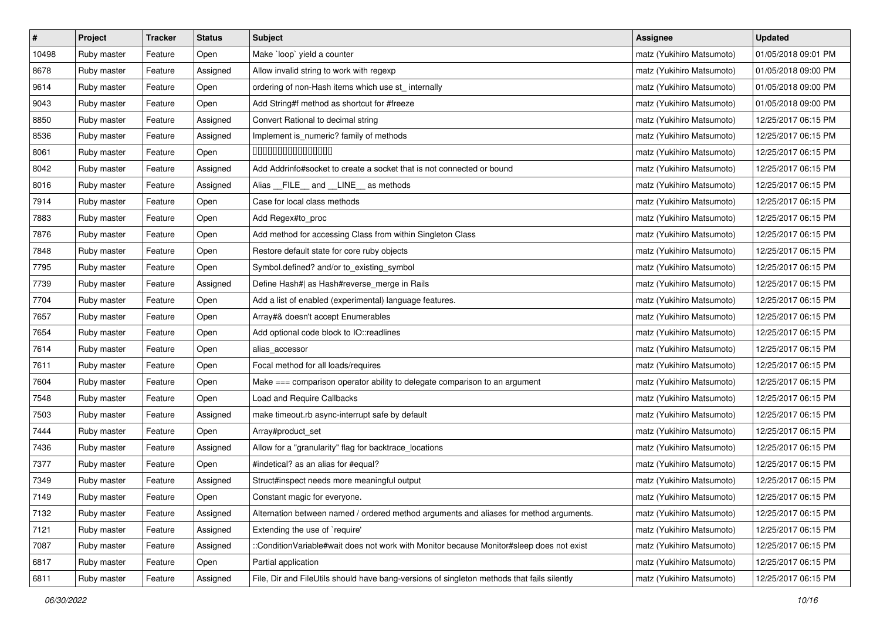| $\vert$ # | Project     | <b>Tracker</b> | <b>Status</b> | <b>Subject</b>                                                                             | <b>Assignee</b>           | <b>Updated</b>      |
|-----------|-------------|----------------|---------------|--------------------------------------------------------------------------------------------|---------------------------|---------------------|
| 10498     | Ruby master | Feature        | Open          | Make `loop` yield a counter                                                                | matz (Yukihiro Matsumoto) | 01/05/2018 09:01 PM |
| 8678      | Ruby master | Feature        | Assigned      | Allow invalid string to work with regexp                                                   | matz (Yukihiro Matsumoto) | 01/05/2018 09:00 PM |
| 9614      | Ruby master | Feature        | Open          | ordering of non-Hash items which use st_internally                                         | matz (Yukihiro Matsumoto) | 01/05/2018 09:00 PM |
| 9043      | Ruby master | Feature        | Open          | Add String#f method as shortcut for #freeze                                                | matz (Yukihiro Matsumoto) | 01/05/2018 09:00 PM |
| 8850      | Ruby master | Feature        | Assigned      | Convert Rational to decimal string                                                         | matz (Yukihiro Matsumoto) | 12/25/2017 06:15 PM |
| 8536      | Ruby master | Feature        | Assigned      | Implement is_numeric? family of methods                                                    | matz (Yukihiro Matsumoto) | 12/25/2017 06:15 PM |
| 8061      | Ruby master | Feature        | Open          | 000000000000000                                                                            | matz (Yukihiro Matsumoto) | 12/25/2017 06:15 PM |
| 8042      | Ruby master | Feature        | Assigned      | Add Addrinfo#socket to create a socket that is not connected or bound                      | matz (Yukihiro Matsumoto) | 12/25/2017 06:15 PM |
| 8016      | Ruby master | Feature        | Assigned      | Alias __FILE__ and __LINE__ as methods                                                     | matz (Yukihiro Matsumoto) | 12/25/2017 06:15 PM |
| 7914      | Ruby master | Feature        | Open          | Case for local class methods                                                               | matz (Yukihiro Matsumoto) | 12/25/2017 06:15 PM |
| 7883      | Ruby master | Feature        | Open          | Add Regex#to_proc                                                                          | matz (Yukihiro Matsumoto) | 12/25/2017 06:15 PM |
| 7876      | Ruby master | Feature        | Open          | Add method for accessing Class from within Singleton Class                                 | matz (Yukihiro Matsumoto) | 12/25/2017 06:15 PM |
| 7848      | Ruby master | Feature        | Open          | Restore default state for core ruby objects                                                | matz (Yukihiro Matsumoto) | 12/25/2017 06:15 PM |
| 7795      | Ruby master | Feature        | Open          | Symbol.defined? and/or to_existing_symbol                                                  | matz (Yukihiro Matsumoto) | 12/25/2017 06:15 PM |
| 7739      | Ruby master | Feature        | Assigned      | Define Hash#  as Hash#reverse_merge in Rails                                               | matz (Yukihiro Matsumoto) | 12/25/2017 06:15 PM |
| 7704      | Ruby master | Feature        | Open          | Add a list of enabled (experimental) language features.                                    | matz (Yukihiro Matsumoto) | 12/25/2017 06:15 PM |
| 7657      | Ruby master | Feature        | Open          | Array#& doesn't accept Enumerables                                                         | matz (Yukihiro Matsumoto) | 12/25/2017 06:15 PM |
| 7654      | Ruby master | Feature        | Open          | Add optional code block to IO::readlines                                                   | matz (Yukihiro Matsumoto) | 12/25/2017 06:15 PM |
| 7614      | Ruby master | Feature        | Open          | alias_accessor                                                                             | matz (Yukihiro Matsumoto) | 12/25/2017 06:15 PM |
| 7611      | Ruby master | Feature        | Open          | Focal method for all loads/requires                                                        | matz (Yukihiro Matsumoto) | 12/25/2017 06:15 PM |
| 7604      | Ruby master | Feature        | Open          | Make === comparison operator ability to delegate comparison to an argument                 | matz (Yukihiro Matsumoto) | 12/25/2017 06:15 PM |
| 7548      | Ruby master | Feature        | Open          | Load and Require Callbacks                                                                 | matz (Yukihiro Matsumoto) | 12/25/2017 06:15 PM |
| 7503      | Ruby master | Feature        | Assigned      | make timeout.rb async-interrupt safe by default                                            | matz (Yukihiro Matsumoto) | 12/25/2017 06:15 PM |
| 7444      | Ruby master | Feature        | Open          | Array#product_set                                                                          | matz (Yukihiro Matsumoto) | 12/25/2017 06:15 PM |
| 7436      | Ruby master | Feature        | Assigned      | Allow for a "granularity" flag for backtrace_locations                                     | matz (Yukihiro Matsumoto) | 12/25/2017 06:15 PM |
| 7377      | Ruby master | Feature        | Open          | #indetical? as an alias for #equal?                                                        | matz (Yukihiro Matsumoto) | 12/25/2017 06:15 PM |
| 7349      | Ruby master | Feature        | Assigned      | Struct#inspect needs more meaningful output                                                | matz (Yukihiro Matsumoto) | 12/25/2017 06:15 PM |
| 7149      | Ruby master | Feature        | Open          | Constant magic for everyone.                                                               | matz (Yukihiro Matsumoto) | 12/25/2017 06:15 PM |
| 7132      | Ruby master | Feature        | Assigned      | Alternation between named / ordered method arguments and aliases for method arguments.     | matz (Yukihiro Matsumoto) | 12/25/2017 06:15 PM |
| 7121      | Ruby master | Feature        | Assigned      | Extending the use of `require'                                                             | matz (Yukihiro Matsumoto) | 12/25/2017 06:15 PM |
| 7087      | Ruby master | Feature        | Assigned      | ::ConditionVariable#wait does not work with Monitor because Monitor#sleep does not exist   | matz (Yukihiro Matsumoto) | 12/25/2017 06:15 PM |
| 6817      | Ruby master | Feature        | Open          | Partial application                                                                        | matz (Yukihiro Matsumoto) | 12/25/2017 06:15 PM |
| 6811      | Ruby master | Feature        | Assigned      | File, Dir and FileUtils should have bang-versions of singleton methods that fails silently | matz (Yukihiro Matsumoto) | 12/25/2017 06:15 PM |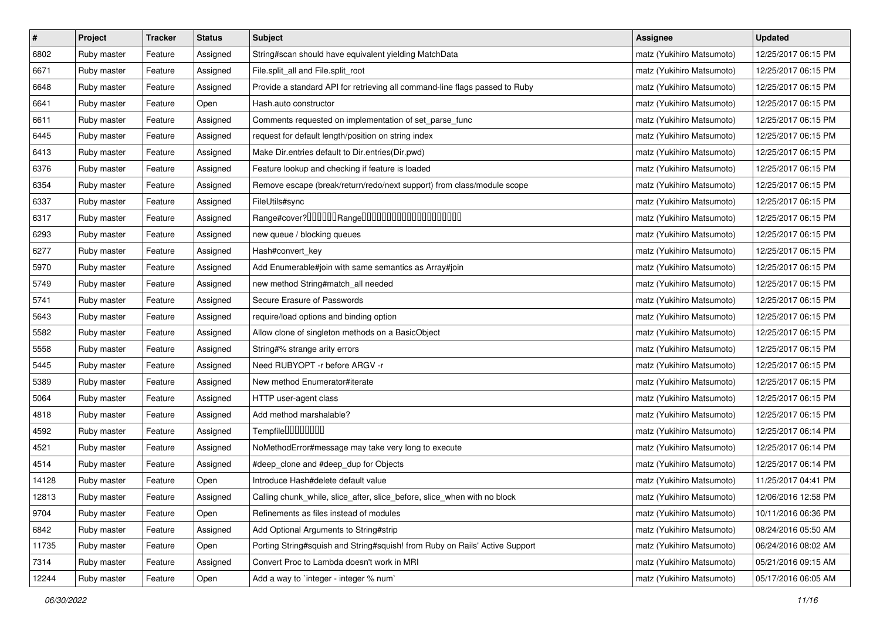| $\pmb{\#}$ | Project     | <b>Tracker</b> | <b>Status</b> | <b>Subject</b>                                                              | <b>Assignee</b>           | <b>Updated</b>      |
|------------|-------------|----------------|---------------|-----------------------------------------------------------------------------|---------------------------|---------------------|
| 6802       | Ruby master | Feature        | Assigned      | String#scan should have equivalent yielding MatchData                       | matz (Yukihiro Matsumoto) | 12/25/2017 06:15 PM |
| 6671       | Ruby master | Feature        | Assigned      | File.split_all and File.split_root                                          | matz (Yukihiro Matsumoto) | 12/25/2017 06:15 PM |
| 6648       | Ruby master | Feature        | Assigned      | Provide a standard API for retrieving all command-line flags passed to Ruby | matz (Yukihiro Matsumoto) | 12/25/2017 06:15 PM |
| 6641       | Ruby master | Feature        | Open          | Hash.auto constructor                                                       | matz (Yukihiro Matsumoto) | 12/25/2017 06:15 PM |
| 6611       | Ruby master | Feature        | Assigned      | Comments requested on implementation of set_parse_func                      | matz (Yukihiro Matsumoto) | 12/25/2017 06:15 PM |
| 6445       | Ruby master | Feature        | Assigned      | request for default length/position on string index                         | matz (Yukihiro Matsumoto) | 12/25/2017 06:15 PM |
| 6413       | Ruby master | Feature        | Assigned      | Make Dir.entries default to Dir.entries(Dir.pwd)                            | matz (Yukihiro Matsumoto) | 12/25/2017 06:15 PM |
| 6376       | Ruby master | Feature        | Assigned      | Feature lookup and checking if feature is loaded                            | matz (Yukihiro Matsumoto) | 12/25/2017 06:15 PM |
| 6354       | Ruby master | Feature        | Assigned      | Remove escape (break/return/redo/next support) from class/module scope      | matz (Yukihiro Matsumoto) | 12/25/2017 06:15 PM |
| 6337       | Ruby master | Feature        | Assigned      | FileUtils#sync                                                              | matz (Yukihiro Matsumoto) | 12/25/2017 06:15 PM |
| 6317       | Ruby master | Feature        | Assigned      | Range#cover?000000Range00000000000000000000                                 | matz (Yukihiro Matsumoto) | 12/25/2017 06:15 PM |
| 6293       | Ruby master | Feature        | Assigned      | new queue / blocking queues                                                 | matz (Yukihiro Matsumoto) | 12/25/2017 06:15 PM |
| 6277       | Ruby master | Feature        | Assigned      | Hash#convert_key                                                            | matz (Yukihiro Matsumoto) | 12/25/2017 06:15 PM |
| 5970       | Ruby master | Feature        | Assigned      | Add Enumerable#join with same semantics as Array#join                       | matz (Yukihiro Matsumoto) | 12/25/2017 06:15 PM |
| 5749       | Ruby master | Feature        | Assigned      | new method String#match_all needed                                          | matz (Yukihiro Matsumoto) | 12/25/2017 06:15 PM |
| 5741       | Ruby master | Feature        | Assigned      | Secure Erasure of Passwords                                                 | matz (Yukihiro Matsumoto) | 12/25/2017 06:15 PM |
| 5643       | Ruby master | Feature        | Assigned      | require/load options and binding option                                     | matz (Yukihiro Matsumoto) | 12/25/2017 06:15 PM |
| 5582       | Ruby master | Feature        | Assigned      | Allow clone of singleton methods on a BasicObject                           | matz (Yukihiro Matsumoto) | 12/25/2017 06:15 PM |
| 5558       | Ruby master | Feature        | Assigned      | String#% strange arity errors                                               | matz (Yukihiro Matsumoto) | 12/25/2017 06:15 PM |
| 5445       | Ruby master | Feature        | Assigned      | Need RUBYOPT - r before ARGV - r                                            | matz (Yukihiro Matsumoto) | 12/25/2017 06:15 PM |
| 5389       | Ruby master | Feature        | Assigned      | New method Enumerator#iterate                                               | matz (Yukihiro Matsumoto) | 12/25/2017 06:15 PM |
| 5064       | Ruby master | Feature        | Assigned      | HTTP user-agent class                                                       | matz (Yukihiro Matsumoto) | 12/25/2017 06:15 PM |
| 4818       | Ruby master | Feature        | Assigned      | Add method marshalable?                                                     | matz (Yukihiro Matsumoto) | 12/25/2017 06:15 PM |
| 4592       | Ruby master | Feature        | Assigned      | Tempfile0000000                                                             | matz (Yukihiro Matsumoto) | 12/25/2017 06:14 PM |
| 4521       | Ruby master | Feature        | Assigned      | NoMethodError#message may take very long to execute                         | matz (Yukihiro Matsumoto) | 12/25/2017 06:14 PM |
| 4514       | Ruby master | Feature        | Assigned      | #deep_clone and #deep_dup for Objects                                       | matz (Yukihiro Matsumoto) | 12/25/2017 06:14 PM |
| 14128      | Ruby master | Feature        | Open          | Introduce Hash#delete default value                                         | matz (Yukihiro Matsumoto) | 11/25/2017 04:41 PM |
| 12813      | Ruby master | Feature        | Assigned      | Calling chunk_while, slice_after, slice_before, slice_when with no block    | matz (Yukihiro Matsumoto) | 12/06/2016 12:58 PM |
| 9704       | Ruby master | Feature        | Open          | Refinements as files instead of modules                                     | matz (Yukihiro Matsumoto) | 10/11/2016 06:36 PM |
| 6842       | Ruby master | Feature        | Assigned      | Add Optional Arguments to String#strip                                      | matz (Yukihiro Matsumoto) | 08/24/2016 05:50 AM |
| 11735      | Ruby master | Feature        | Open          | Porting String#squish and String#squish! from Ruby on Rails' Active Support | matz (Yukihiro Matsumoto) | 06/24/2016 08:02 AM |
| 7314       | Ruby master | Feature        | Assigned      | Convert Proc to Lambda doesn't work in MRI                                  | matz (Yukihiro Matsumoto) | 05/21/2016 09:15 AM |
| 12244      | Ruby master | Feature        | Open          | Add a way to `integer - integer % num`                                      | matz (Yukihiro Matsumoto) | 05/17/2016 06:05 AM |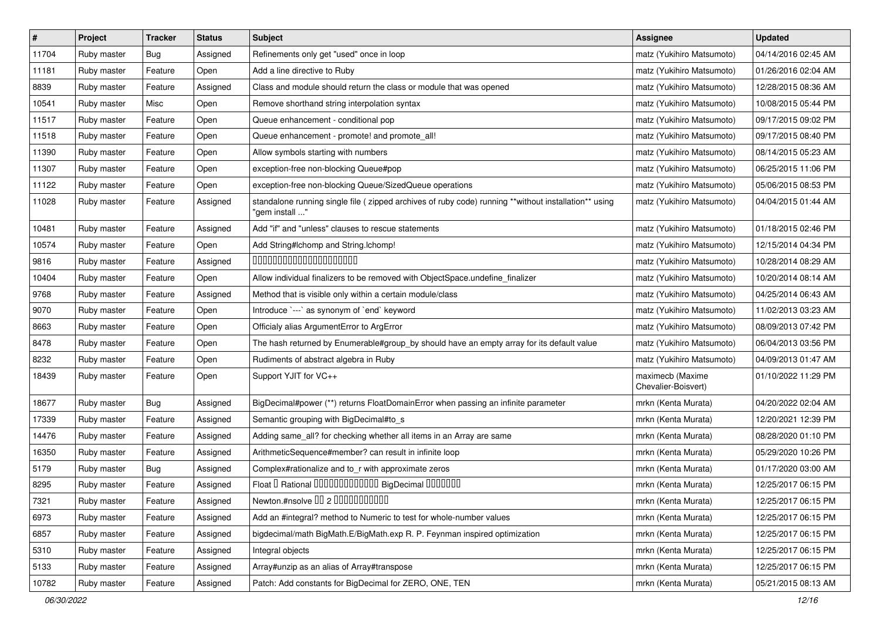| $\sharp$ | Project     | <b>Tracker</b> | <b>Status</b> | Subject                                                                                                                 | <b>Assignee</b>                         | <b>Updated</b>      |
|----------|-------------|----------------|---------------|-------------------------------------------------------------------------------------------------------------------------|-----------------------------------------|---------------------|
| 11704    | Ruby master | <b>Bug</b>     | Assigned      | Refinements only get "used" once in loop                                                                                | matz (Yukihiro Matsumoto)               | 04/14/2016 02:45 AM |
| 11181    | Ruby master | Feature        | Open          | Add a line directive to Ruby                                                                                            | matz (Yukihiro Matsumoto)               | 01/26/2016 02:04 AM |
| 8839     | Ruby master | Feature        | Assigned      | Class and module should return the class or module that was opened                                                      | matz (Yukihiro Matsumoto)               | 12/28/2015 08:36 AM |
| 10541    | Ruby master | Misc           | Open          | Remove shorthand string interpolation syntax                                                                            | matz (Yukihiro Matsumoto)               | 10/08/2015 05:44 PM |
| 11517    | Ruby master | Feature        | Open          | Queue enhancement - conditional pop                                                                                     | matz (Yukihiro Matsumoto)               | 09/17/2015 09:02 PM |
| 11518    | Ruby master | Feature        | Open          | Queue enhancement - promote! and promote all!                                                                           | matz (Yukihiro Matsumoto)               | 09/17/2015 08:40 PM |
| 11390    | Ruby master | Feature        | Open          | Allow symbols starting with numbers                                                                                     | matz (Yukihiro Matsumoto)               | 08/14/2015 05:23 AM |
| 11307    | Ruby master | Feature        | Open          | exception-free non-blocking Queue#pop                                                                                   | matz (Yukihiro Matsumoto)               | 06/25/2015 11:06 PM |
| 11122    | Ruby master | Feature        | Open          | exception-free non-blocking Queue/SizedQueue operations                                                                 | matz (Yukihiro Matsumoto)               | 05/06/2015 08:53 PM |
| 11028    | Ruby master | Feature        | Assigned      | standalone running single file ( zipped archives of ruby code) running **without installation** using<br>"gem install " | matz (Yukihiro Matsumoto)               | 04/04/2015 01:44 AM |
| 10481    | Ruby master | Feature        | Assigned      | Add "if" and "unless" clauses to rescue statements                                                                      | matz (Yukihiro Matsumoto)               | 01/18/2015 02:46 PM |
| 10574    | Ruby master | Feature        | Open          | Add String#Ichomp and String.Ichomp!                                                                                    | matz (Yukihiro Matsumoto)               | 12/15/2014 04:34 PM |
| 9816     | Ruby master | Feature        | Assigned      | 00000000000000000000                                                                                                    | matz (Yukihiro Matsumoto)               | 10/28/2014 08:29 AM |
| 10404    | Ruby master | Feature        | Open          | Allow individual finalizers to be removed with ObjectSpace.undefine_finalizer                                           | matz (Yukihiro Matsumoto)               | 10/20/2014 08:14 AM |
| 9768     | Ruby master | Feature        | Assigned      | Method that is visible only within a certain module/class                                                               | matz (Yukihiro Matsumoto)               | 04/25/2014 06:43 AM |
| 9070     | Ruby master | Feature        | Open          | Introduce `---` as synonym of `end` keyword                                                                             | matz (Yukihiro Matsumoto)               | 11/02/2013 03:23 AM |
| 8663     | Ruby master | Feature        | Open          | Officialy alias ArgumentError to ArgError                                                                               | matz (Yukihiro Matsumoto)               | 08/09/2013 07:42 PM |
| 8478     | Ruby master | Feature        | Open          | The hash returned by Enumerable#group_by should have an empty array for its default value                               | matz (Yukihiro Matsumoto)               | 06/04/2013 03:56 PM |
| 8232     | Ruby master | Feature        | Open          | Rudiments of abstract algebra in Ruby                                                                                   | matz (Yukihiro Matsumoto)               | 04/09/2013 01:47 AM |
| 18439    | Ruby master | Feature        | Open          | Support YJIT for VC++                                                                                                   | maximecb (Maxime<br>Chevalier-Boisvert) | 01/10/2022 11:29 PM |
| 18677    | Ruby master | Bug            | Assigned      | BigDecimal#power (**) returns FloatDomainError when passing an infinite parameter                                       | mrkn (Kenta Murata)                     | 04/20/2022 02:04 AM |
| 17339    | Ruby master | Feature        | Assigned      | Semantic grouping with BigDecimal#to s                                                                                  | mrkn (Kenta Murata)                     | 12/20/2021 12:39 PM |
| 14476    | Ruby master | Feature        | Assigned      | Adding same_all? for checking whether all items in an Array are same                                                    | mrkn (Kenta Murata)                     | 08/28/2020 01:10 PM |
| 16350    | Ruby master | Feature        | Assigned      | ArithmeticSequence#member? can result in infinite loop                                                                  | mrkn (Kenta Murata)                     | 05/29/2020 10:26 PM |
| 5179     | Ruby master | Bug            | Assigned      | Complex#rationalize and to_r with approximate zeros                                                                     | mrkn (Kenta Murata)                     | 01/17/2020 03:00 AM |
| 8295     | Ruby master | Feature        | Assigned      | Float I Rational 0000000000000 BigDecimal 0000000                                                                       | mrkn (Kenta Murata)                     | 12/25/2017 06:15 PM |
| 7321     | Ruby master | Feature        | Assigned      | Newton.#nsolve 00 2 00000000000                                                                                         | mrkn (Kenta Murata)                     | 12/25/2017 06:15 PM |
| 6973     | Ruby master | Feature        | Assigned      | Add an #integral? method to Numeric to test for whole-number values                                                     | mrkn (Kenta Murata)                     | 12/25/2017 06:15 PM |
| 6857     | Ruby master | Feature        | Assigned      | bigdecimal/math BigMath.E/BigMath.exp R. P. Feynman inspired optimization                                               | mrkn (Kenta Murata)                     | 12/25/2017 06:15 PM |
| 5310     | Ruby master | Feature        | Assigned      | Integral objects                                                                                                        | mrkn (Kenta Murata)                     | 12/25/2017 06:15 PM |
| 5133     | Ruby master | Feature        | Assigned      | Array#unzip as an alias of Array#transpose                                                                              | mrkn (Kenta Murata)                     | 12/25/2017 06:15 PM |
| 10782    | Ruby master | Feature        | Assigned      | Patch: Add constants for BigDecimal for ZERO, ONE, TEN                                                                  | mrkn (Kenta Murata)                     | 05/21/2015 08:13 AM |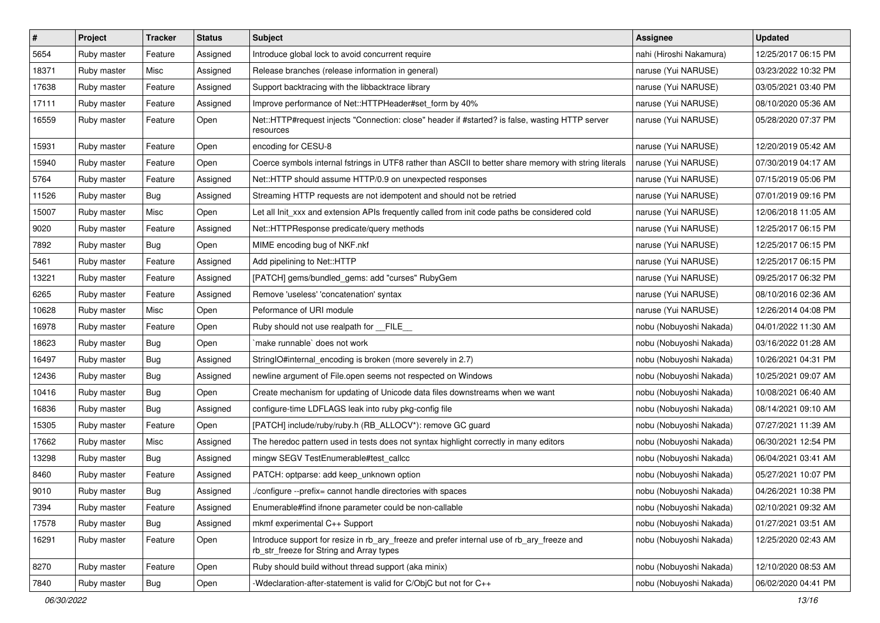| $\vert$ # | Project     | <b>Tracker</b> | <b>Status</b> | Subject                                                                                                                                | Assignee                | <b>Updated</b>      |
|-----------|-------------|----------------|---------------|----------------------------------------------------------------------------------------------------------------------------------------|-------------------------|---------------------|
| 5654      | Ruby master | Feature        | Assigned      | Introduce global lock to avoid concurrent require                                                                                      | nahi (Hiroshi Nakamura) | 12/25/2017 06:15 PM |
| 18371     | Ruby master | Misc           | Assigned      | Release branches (release information in general)                                                                                      | naruse (Yui NARUSE)     | 03/23/2022 10:32 PM |
| 17638     | Ruby master | Feature        | Assigned      | Support backtracing with the libbacktrace library                                                                                      | naruse (Yui NARUSE)     | 03/05/2021 03:40 PM |
| 17111     | Ruby master | Feature        | Assigned      | Improve performance of Net::HTTPHeader#set_form by 40%                                                                                 | naruse (Yui NARUSE)     | 08/10/2020 05:36 AM |
| 16559     | Ruby master | Feature        | Open          | Net::HTTP#request injects "Connection: close" header if #started? is false, wasting HTTP server<br>resources                           | naruse (Yui NARUSE)     | 05/28/2020 07:37 PM |
| 15931     | Ruby master | Feature        | Open          | encoding for CESU-8                                                                                                                    | naruse (Yui NARUSE)     | 12/20/2019 05:42 AM |
| 15940     | Ruby master | Feature        | Open          | Coerce symbols internal fstrings in UTF8 rather than ASCII to better share memory with string literals                                 | naruse (Yui NARUSE)     | 07/30/2019 04:17 AM |
| 5764      | Ruby master | Feature        | Assigned      | Net::HTTP should assume HTTP/0.9 on unexpected responses                                                                               | naruse (Yui NARUSE)     | 07/15/2019 05:06 PM |
| 11526     | Ruby master | Bug            | Assigned      | Streaming HTTP requests are not idempotent and should not be retried                                                                   | naruse (Yui NARUSE)     | 07/01/2019 09:16 PM |
| 15007     | Ruby master | Misc           | Open          | Let all Init_xxx and extension APIs frequently called from init code paths be considered cold                                          | naruse (Yui NARUSE)     | 12/06/2018 11:05 AM |
| 9020      | Ruby master | Feature        | Assigned      | Net::HTTPResponse predicate/query methods                                                                                              | naruse (Yui NARUSE)     | 12/25/2017 06:15 PM |
| 7892      | Ruby master | Bug            | Open          | MIME encoding bug of NKF.nkf                                                                                                           | naruse (Yui NARUSE)     | 12/25/2017 06:15 PM |
| 5461      | Ruby master | Feature        | Assigned      | Add pipelining to Net::HTTP                                                                                                            | naruse (Yui NARUSE)     | 12/25/2017 06:15 PM |
| 13221     | Ruby master | Feature        | Assigned      | [PATCH] gems/bundled_gems: add "curses" RubyGem                                                                                        | naruse (Yui NARUSE)     | 09/25/2017 06:32 PM |
| 6265      | Ruby master | Feature        | Assigned      | Remove 'useless' 'concatenation' syntax                                                                                                | naruse (Yui NARUSE)     | 08/10/2016 02:36 AM |
| 10628     | Ruby master | Misc           | Open          | Peformance of URI module                                                                                                               | naruse (Yui NARUSE)     | 12/26/2014 04:08 PM |
| 16978     | Ruby master | Feature        | Open          | Ruby should not use realpath for __FILE__                                                                                              | nobu (Nobuyoshi Nakada) | 04/01/2022 11:30 AM |
| 18623     | Ruby master | Bug            | Open          | `make runnable` does not work                                                                                                          | nobu (Nobuyoshi Nakada) | 03/16/2022 01:28 AM |
| 16497     | Ruby master | Bug            | Assigned      | StringIO#internal_encoding is broken (more severely in 2.7)                                                                            | nobu (Nobuyoshi Nakada) | 10/26/2021 04:31 PM |
| 12436     | Ruby master | Bug            | Assigned      | newline argument of File.open seems not respected on Windows                                                                           | nobu (Nobuyoshi Nakada) | 10/25/2021 09:07 AM |
| 10416     | Ruby master | Bug            | Open          | Create mechanism for updating of Unicode data files downstreams when we want                                                           | nobu (Nobuyoshi Nakada) | 10/08/2021 06:40 AM |
| 16836     | Ruby master | Bug            | Assigned      | configure-time LDFLAGS leak into ruby pkg-config file                                                                                  | nobu (Nobuyoshi Nakada) | 08/14/2021 09:10 AM |
| 15305     | Ruby master | Feature        | Open          | [PATCH] include/ruby/ruby.h (RB_ALLOCV*): remove GC guard                                                                              | nobu (Nobuyoshi Nakada) | 07/27/2021 11:39 AM |
| 17662     | Ruby master | Misc           | Assigned      | The heredoc pattern used in tests does not syntax highlight correctly in many editors                                                  | nobu (Nobuyoshi Nakada) | 06/30/2021 12:54 PM |
| 13298     | Ruby master | Bug            | Assigned      | mingw SEGV TestEnumerable#test_callcc                                                                                                  | nobu (Nobuyoshi Nakada) | 06/04/2021 03:41 AM |
| 8460      | Ruby master | Feature        | Assigned      | PATCH: optparse: add keep unknown option                                                                                               | nobu (Nobuyoshi Nakada) | 05/27/2021 10:07 PM |
| 9010      | Ruby master | <b>Bug</b>     | Assigned      | /configure --prefix= cannot handle directories with spaces                                                                             | nobu (Nobuyoshi Nakada) | 04/26/2021 10:38 PM |
| 7394      | Ruby master | Feature        | Assigned      | Enumerable#find ifnone parameter could be non-callable                                                                                 | nobu (Nobuyoshi Nakada) | 02/10/2021 09:32 AM |
| 17578     | Ruby master | Bug            | Assigned      | mkmf experimental C++ Support                                                                                                          | nobu (Nobuyoshi Nakada) | 01/27/2021 03:51 AM |
| 16291     | Ruby master | Feature        | Open          | Introduce support for resize in rb_ary_freeze and prefer internal use of rb_ary_freeze and<br>rb_str_freeze for String and Array types | nobu (Nobuyoshi Nakada) | 12/25/2020 02:43 AM |
| 8270      | Ruby master | Feature        | Open          | Ruby should build without thread support (aka minix)                                                                                   | nobu (Nobuyoshi Nakada) | 12/10/2020 08:53 AM |
| 7840      | Ruby master | <b>Bug</b>     | Open          | -Wdeclaration-after-statement is valid for C/ObjC but not for C++                                                                      | nobu (Nobuyoshi Nakada) | 06/02/2020 04:41 PM |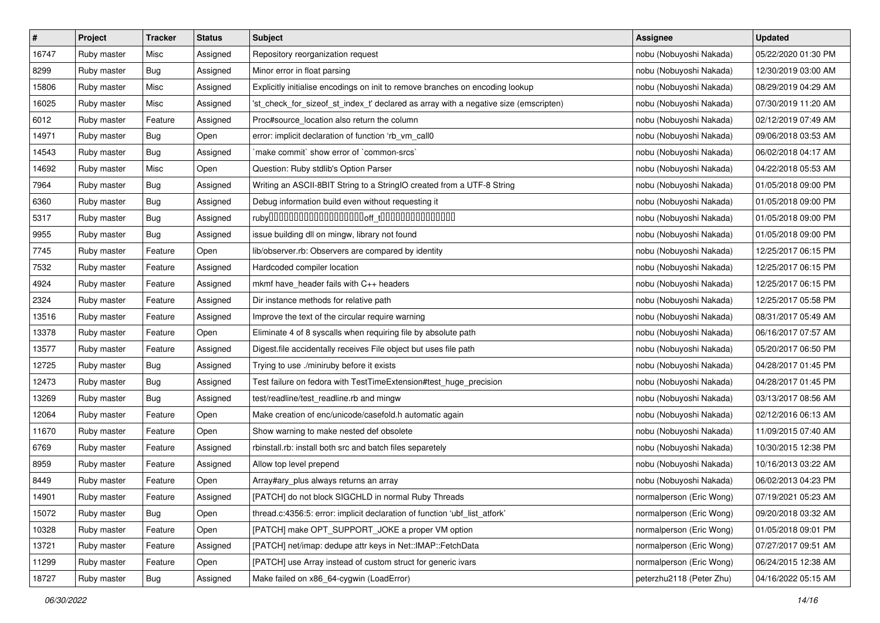| $\pmb{\#}$ | Project     | <b>Tracker</b> | <b>Status</b> | <b>Subject</b>                                                                       | Assignee                 | <b>Updated</b>      |
|------------|-------------|----------------|---------------|--------------------------------------------------------------------------------------|--------------------------|---------------------|
| 16747      | Ruby master | Misc           | Assigned      | Repository reorganization request                                                    | nobu (Nobuyoshi Nakada)  | 05/22/2020 01:30 PM |
| 8299       | Ruby master | Bug            | Assigned      | Minor error in float parsing                                                         | nobu (Nobuyoshi Nakada)  | 12/30/2019 03:00 AM |
| 15806      | Ruby master | Misc           | Assigned      | Explicitly initialise encodings on init to remove branches on encoding lookup        | nobu (Nobuyoshi Nakada)  | 08/29/2019 04:29 AM |
| 16025      | Ruby master | Misc           | Assigned      | 'st_check_for_sizeof_st_index_t' declared as array with a negative size (emscripten) | nobu (Nobuyoshi Nakada)  | 07/30/2019 11:20 AM |
| 6012       | Ruby master | Feature        | Assigned      | Proc#source_location also return the column                                          | nobu (Nobuyoshi Nakada)  | 02/12/2019 07:49 AM |
| 14971      | Ruby master | Bug            | Open          | error: implicit declaration of function 'rb_vm_call0                                 | nobu (Nobuyoshi Nakada)  | 09/06/2018 03:53 AM |
| 14543      | Ruby master | <b>Bug</b>     | Assigned      | 'make commit' show error of 'common-srcs'                                            | nobu (Nobuyoshi Nakada)  | 06/02/2018 04:17 AM |
| 14692      | Ruby master | Misc           | Open          | Question: Ruby stdlib's Option Parser                                                | nobu (Nobuyoshi Nakada)  | 04/22/2018 05:53 AM |
| 7964       | Ruby master | <b>Bug</b>     | Assigned      | Writing an ASCII-8BIT String to a StringIO created from a UTF-8 String               | nobu (Nobuyoshi Nakada)  | 01/05/2018 09:00 PM |
| 6360       | Ruby master | Bug            | Assigned      | Debug information build even without requesting it                                   | nobu (Nobuyoshi Nakada)  | 01/05/2018 09:00 PM |
| 5317       | Ruby master | Bug            | Assigned      |                                                                                      | nobu (Nobuyoshi Nakada)  | 01/05/2018 09:00 PM |
| 9955       | Ruby master | <b>Bug</b>     | Assigned      | issue building dll on mingw, library not found                                       | nobu (Nobuyoshi Nakada)  | 01/05/2018 09:00 PM |
| 7745       | Ruby master | Feature        | Open          | lib/observer.rb: Observers are compared by identity                                  | nobu (Nobuyoshi Nakada)  | 12/25/2017 06:15 PM |
| 7532       | Ruby master | Feature        | Assigned      | Hardcoded compiler location                                                          | nobu (Nobuyoshi Nakada)  | 12/25/2017 06:15 PM |
| 4924       | Ruby master | Feature        | Assigned      | mkmf have_header fails with C++ headers                                              | nobu (Nobuyoshi Nakada)  | 12/25/2017 06:15 PM |
| 2324       | Ruby master | Feature        | Assigned      | Dir instance methods for relative path                                               | nobu (Nobuyoshi Nakada)  | 12/25/2017 05:58 PM |
| 13516      | Ruby master | Feature        | Assigned      | Improve the text of the circular require warning                                     | nobu (Nobuyoshi Nakada)  | 08/31/2017 05:49 AM |
| 13378      | Ruby master | Feature        | Open          | Eliminate 4 of 8 syscalls when requiring file by absolute path                       | nobu (Nobuyoshi Nakada)  | 06/16/2017 07:57 AM |
| 13577      | Ruby master | Feature        | Assigned      | Digest file accidentally receives File object but uses file path                     | nobu (Nobuyoshi Nakada)  | 05/20/2017 06:50 PM |
| 12725      | Ruby master | Bug            | Assigned      | Trying to use ./miniruby before it exists                                            | nobu (Nobuyoshi Nakada)  | 04/28/2017 01:45 PM |
| 12473      | Ruby master | Bug            | Assigned      | Test failure on fedora with TestTimeExtension#test_huge_precision                    | nobu (Nobuyoshi Nakada)  | 04/28/2017 01:45 PM |
| 13269      | Ruby master | Bug            | Assigned      | test/readline/test_readline.rb and mingw                                             | nobu (Nobuyoshi Nakada)  | 03/13/2017 08:56 AM |
| 12064      | Ruby master | Feature        | Open          | Make creation of enc/unicode/casefold.h automatic again                              | nobu (Nobuyoshi Nakada)  | 02/12/2016 06:13 AM |
| 11670      | Ruby master | Feature        | Open          | Show warning to make nested def obsolete                                             | nobu (Nobuyoshi Nakada)  | 11/09/2015 07:40 AM |
| 6769       | Ruby master | Feature        | Assigned      | rbinstall.rb: install both src and batch files separetely                            | nobu (Nobuyoshi Nakada)  | 10/30/2015 12:38 PM |
| 8959       | Ruby master | Feature        | Assigned      | Allow top level prepend                                                              | nobu (Nobuyoshi Nakada)  | 10/16/2013 03:22 AM |
| 8449       | Ruby master | Feature        | Open          | Array#ary_plus always returns an array                                               | nobu (Nobuyoshi Nakada)  | 06/02/2013 04:23 PM |
| 14901      | Ruby master | Feature        | Assigned      | [PATCH] do not block SIGCHLD in normal Ruby Threads                                  | normalperson (Eric Wong) | 07/19/2021 05:23 AM |
| 15072      | Ruby master | Bug            | Open          | thread.c:4356:5: error: implicit declaration of function 'ubf list atfork'           | normalperson (Eric Wong) | 09/20/2018 03:32 AM |
| 10328      | Ruby master | Feature        | Open          | [PATCH] make OPT_SUPPORT_JOKE a proper VM option                                     | normalperson (Eric Wong) | 01/05/2018 09:01 PM |
| 13721      | Ruby master | Feature        | Assigned      | [PATCH] net/imap: dedupe attr keys in Net::IMAP::FetchData                           | normalperson (Eric Wong) | 07/27/2017 09:51 AM |
| 11299      | Ruby master | Feature        | Open          | [PATCH] use Array instead of custom struct for generic ivars                         | normalperson (Eric Wong) | 06/24/2015 12:38 AM |
| 18727      | Ruby master | <b>Bug</b>     | Assigned      | Make failed on x86_64-cygwin (LoadError)                                             | peterzhu2118 (Peter Zhu) | 04/16/2022 05:15 AM |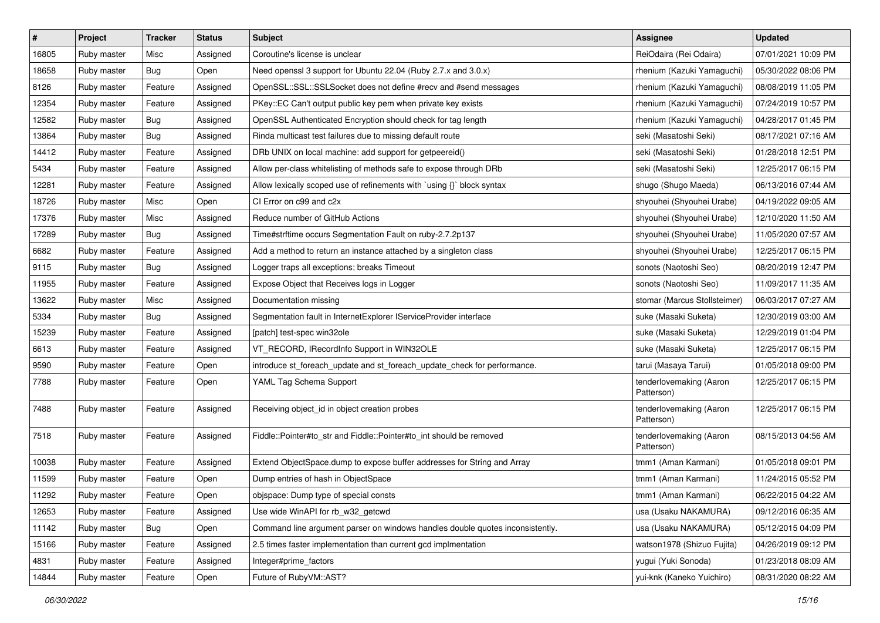| $\pmb{\#}$ | Project     | <b>Tracker</b> | <b>Status</b> | <b>Subject</b>                                                                | <b>Assignee</b>                       | <b>Updated</b>      |
|------------|-------------|----------------|---------------|-------------------------------------------------------------------------------|---------------------------------------|---------------------|
| 16805      | Ruby master | Misc           | Assigned      | Coroutine's license is unclear                                                | ReiOdaira (Rei Odaira)                | 07/01/2021 10:09 PM |
| 18658      | Ruby master | Bug            | Open          | Need openssl 3 support for Ubuntu 22.04 (Ruby 2.7.x and 3.0.x)                | rhenium (Kazuki Yamaguchi)            | 05/30/2022 08:06 PM |
| 8126       | Ruby master | Feature        | Assigned      | OpenSSL::SSL::SSLSocket does not define #recv and #send messages              | rhenium (Kazuki Yamaguchi)            | 08/08/2019 11:05 PM |
| 12354      | Ruby master | Feature        | Assigned      | PKey::EC Can't output public key pem when private key exists                  | rhenium (Kazuki Yamaguchi)            | 07/24/2019 10:57 PM |
| 12582      | Ruby master | Bug            | Assigned      | OpenSSL Authenticated Encryption should check for tag length                  | rhenium (Kazuki Yamaguchi)            | 04/28/2017 01:45 PM |
| 13864      | Ruby master | <b>Bug</b>     | Assigned      | Rinda multicast test failures due to missing default route                    | seki (Masatoshi Seki)                 | 08/17/2021 07:16 AM |
| 14412      | Ruby master | Feature        | Assigned      | DRb UNIX on local machine: add support for getpeereid()                       | seki (Masatoshi Seki)                 | 01/28/2018 12:51 PM |
| 5434       | Ruby master | Feature        | Assigned      | Allow per-class whitelisting of methods safe to expose through DRb            | seki (Masatoshi Seki)                 | 12/25/2017 06:15 PM |
| 12281      | Ruby master | Feature        | Assigned      | Allow lexically scoped use of refinements with `using {}` block syntax        | shugo (Shugo Maeda)                   | 06/13/2016 07:44 AM |
| 18726      | Ruby master | Misc           | Open          | CI Error on c99 and c2x                                                       | shyouhei (Shyouhei Urabe)             | 04/19/2022 09:05 AM |
| 17376      | Ruby master | Misc           | Assigned      | Reduce number of GitHub Actions                                               | shyouhei (Shyouhei Urabe)             | 12/10/2020 11:50 AM |
| 17289      | Ruby master | Bug            | Assigned      | Time#strftime occurs Segmentation Fault on ruby-2.7.2p137                     | shyouhei (Shyouhei Urabe)             | 11/05/2020 07:57 AM |
| 6682       | Ruby master | Feature        | Assigned      | Add a method to return an instance attached by a singleton class              | shyouhei (Shyouhei Urabe)             | 12/25/2017 06:15 PM |
| 9115       | Ruby master | Bug            | Assigned      | Logger traps all exceptions; breaks Timeout                                   | sonots (Naotoshi Seo)                 | 08/20/2019 12:47 PM |
| 11955      | Ruby master | Feature        | Assigned      | Expose Object that Receives logs in Logger                                    | sonots (Naotoshi Seo)                 | 11/09/2017 11:35 AM |
| 13622      | Ruby master | Misc           | Assigned      | Documentation missing                                                         | stomar (Marcus Stollsteimer)          | 06/03/2017 07:27 AM |
| 5334       | Ruby master | Bug            | Assigned      | Segmentation fault in InternetExplorer IServiceProvider interface             | suke (Masaki Suketa)                  | 12/30/2019 03:00 AM |
| 15239      | Ruby master | Feature        | Assigned      | [patch] test-spec win32ole                                                    | suke (Masaki Suketa)                  | 12/29/2019 01:04 PM |
| 6613       | Ruby master | Feature        | Assigned      | VT_RECORD, IRecordInfo Support in WIN32OLE                                    | suke (Masaki Suketa)                  | 12/25/2017 06:15 PM |
| 9590       | Ruby master | Feature        | Open          | introduce st_foreach_update and st_foreach_update_check for performance.      | tarui (Masaya Tarui)                  | 01/05/2018 09:00 PM |
| 7788       | Ruby master | Feature        | Open          | YAML Tag Schema Support                                                       | tenderlovemaking (Aaron<br>Patterson) | 12/25/2017 06:15 PM |
| 7488       | Ruby master | Feature        | Assigned      | Receiving object_id in object creation probes                                 | tenderlovemaking (Aaron<br>Patterson) | 12/25/2017 06:15 PM |
| 7518       | Ruby master | Feature        | Assigned      | Fiddle::Pointer#to_str and Fiddle::Pointer#to_int should be removed           | tenderlovemaking (Aaron<br>Patterson) | 08/15/2013 04:56 AM |
| 10038      | Ruby master | Feature        | Assigned      | Extend ObjectSpace.dump to expose buffer addresses for String and Array       | tmm1 (Aman Karmani)                   | 01/05/2018 09:01 PM |
| 11599      | Ruby master | Feature        | Open          | Dump entries of hash in ObjectSpace                                           | tmm1 (Aman Karmani)                   | 11/24/2015 05:52 PM |
| 11292      | Ruby master | Feature        | Open          | objspace: Dump type of special consts                                         | tmm1 (Aman Karmani)                   | 06/22/2015 04:22 AM |
| 12653      | Ruby master | Feature        | Assigned      | Use wide WinAPI for rb_w32_getcwd                                             | usa (Usaku NAKAMURA)                  | 09/12/2016 06:35 AM |
| 11142      | Ruby master | Bug            | Open          | Command line argument parser on windows handles double quotes inconsistently. | usa (Usaku NAKAMURA)                  | 05/12/2015 04:09 PM |
| 15166      | Ruby master | Feature        | Assigned      | 2.5 times faster implementation than current gcd implmentation                | watson1978 (Shizuo Fujita)            | 04/26/2019 09:12 PM |
| 4831       | Ruby master | Feature        | Assigned      | Integer#prime factors                                                         | yugui (Yuki Sonoda)                   | 01/23/2018 08:09 AM |
| 14844      | Ruby master | Feature        | Open          | Future of RubyVM::AST?                                                        | yui-knk (Kaneko Yuichiro)             | 08/31/2020 08:22 AM |